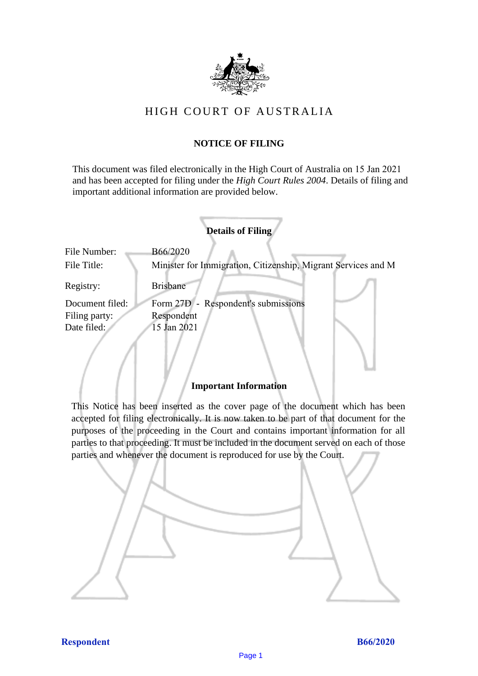

# HIGH COURT OF AU STRALIA HIGH COURT OF AUSTRALIA

# **NOTICE OF FILING** NOTICE OF FILING

This document was filed electronically in the High Court of Australia on 15 Jan 2021 This document was filed electronically in the High Court of Australia <sup>1</sup> and has been accepted for filing under the *High Court Rules 2004*. Details of filing and important additional information are provided below. important additional information are provided below.

|                 | <b>Details of Filing</b>                                      |
|-----------------|---------------------------------------------------------------|
| File Number:    | B66/2020                                                      |
| File Title:     | Minister for Immigration, Citizenship, Migrant Services and M |
| Registry:       | <b>Brisbane</b>                                               |
| Document filed: | Form 27D - Respondent's submissions                           |
| Filing party:   | Respondent                                                    |
| Date filed:     | 15 Jan 2021                                                   |
|                 |                                                               |

# **Important Information** Important Information

This Notice has been inserted as the cover page of the document which has been accepted for filing electronically. It is now taken to be part of that document for the purposes of the proceeding in the Court and contains important information for all parties to that proceeding. It must be included in the document served on each of those parties and whenever the document is reproduced for use by the Court. parties and whenever the document is reproduced for use by the Court

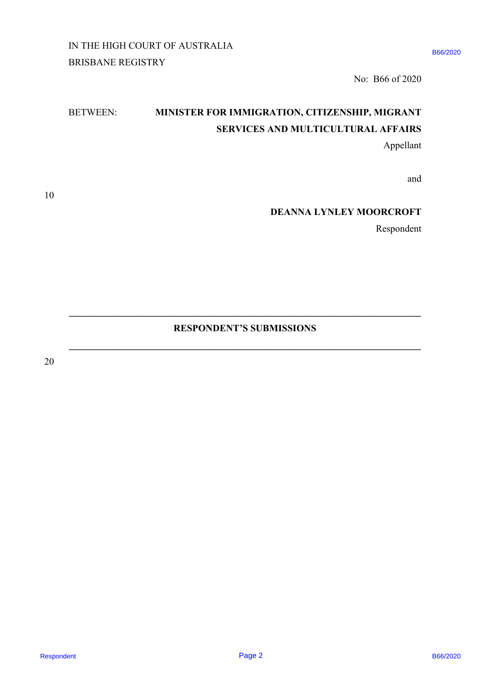IN THE HIGH COURT OF AUSTRALIA IN THE HIGH COURT OF AUSTRALIA

B66/2020

No: B66 of 2020 No: B66 of 2020

# BETWEEN: **MINISTER FOR IMMIGRATION, CITIZENSHIP, MIGRANT**  BETWEEN: MINISTER FOR IMMIGRATION, CITIZENSHIP, MIGRANT **SERVICES AND MULTICULTURAL AFFAIRS** SERVICES AND MULTICULTURAL AFFAIRS RESPONDENT BETWEEN MINISTER FOR IMMIGRATION, CITIZENSHIP, MICHANT<br>
BETWEEN MINISTER FOR IMMIGRATION, CITIZENSHIP, MIGRANT<br>
SHOVICES AND MILE ITELLE THEAT. AFFAIRS<br>
Appellant<br>
THE DEANNALLYNICEY MOORCROFT<br>
Respondent<br>
20<br>
2

Appellant Appellant

and and

**DEANNA LYNLEY MOORCROFT** DEANNA LYNLEY MOORCROFT

Respondent Respondent

# **RESPONDENT'S SUBMISSIONS** RESPONDENT'S SUBMISSIONS

 $\mathcal{L}_\mathcal{L} = \{ \mathcal{L}_\mathcal{L} = \{ \mathcal{L}_\mathcal{L} = \{ \mathcal{L}_\mathcal{L} = \{ \mathcal{L}_\mathcal{L} = \{ \mathcal{L}_\mathcal{L} = \{ \mathcal{L}_\mathcal{L} = \{ \mathcal{L}_\mathcal{L} = \{ \mathcal{L}_\mathcal{L} = \{ \mathcal{L}_\mathcal{L} = \{ \mathcal{L}_\mathcal{L} = \{ \mathcal{L}_\mathcal{L} = \{ \mathcal{L}_\mathcal{L} = \{ \mathcal{L}_\mathcal{L} = \{ \mathcal{L}_\mathcal{$ 

**\_\_\_\_\_\_\_\_\_\_\_\_\_\_\_\_\_\_\_\_\_\_\_\_\_\_\_\_\_\_\_\_\_\_\_\_\_\_\_\_\_\_\_\_\_\_\_\_\_\_\_\_\_\_\_\_\_\_\_\_\_\_\_\_\_\_\_\_\_\_\_\_\_**

20 20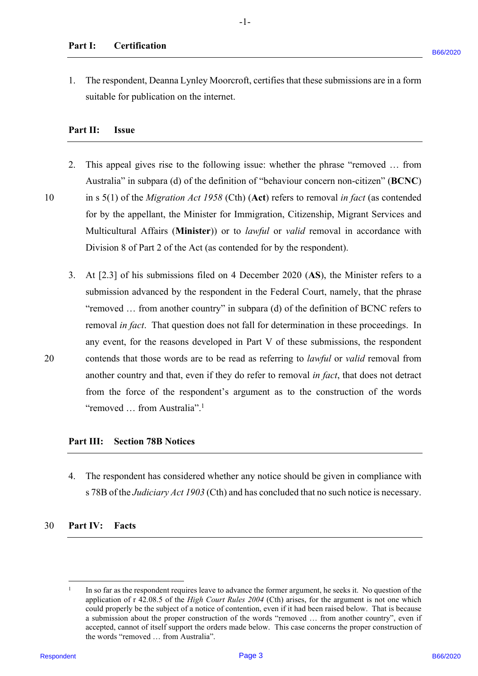### **Part I: Certification** Part I: Certification

1. The respondent, Deanna Lynley Moorcroft, certifies that these submissions are in a form 1. The respondent, Deanna Lynley Moorcroft, certifies that these submissions are in a form suitable for publication on the internet. suitable for publication on the internet.

# **Part II: Issue** Part II: Issue

- 2. This appeal gives rise to the following issue: whether the phrase "removed ... from Australia" in subpara (d) of the definition of "behaviour concern non-citizen" (**BCNC**) Australia" in subpara (d) of the definition of "behaviour concern non-citizen" (BCNC) 10 in s 5(1) of the *Migration Act 1958* (Cth) (Act) refers to removal *in fact* (as contended for by the appellant, the Minister for Immigration, Citizenship, Migrant Services and for by the appellant, the Minister for Immigration, Citizenship, Migrant Services and Multicultural Affairs (**Minister**)) or to *lawful* or *valid* removal in accordance with Multicultural Affairs (Minister)) or to /awful or valid removal in accordance with Division 8 of Part 2 of the Act (as contended for by the respondent). Division <sup>8</sup> of Part 2 of the Act (as contended for by the respondent).
- 3. At [2.3] of his submissions filed on 4 December 2020 (**AS**), the Minister refers to a At [2.3] of his submissions filed on 4 December 2020 (AS), the Minister refers to a submission advanced by the respondent in the Federal Court, namely, that the phrase submission advanced by the respondent in the Federal Court, namely, that the phrase "removed … from another country" in subpara (d) of the definition of BCNC refers to "removed ... from another country" in subpara (d) of the definition of BCNC refers to removal in fact. That question does not fall for determination in these proceedings. In any event, for the reasons developed in Part V of these submissions, the respondent any event, for the reasons developed in Part V of these submissions, the respondent 20 contends that those words are to be read as referring to *lawful* or *valid* removal from contends that those words are to be read as referring to /awful or valid removal from another country and that, even if they do refer to removal in fact, that does not detract from the force of the respondent's argument as to the construction of the words from the force of the respondent's argument as to the construction of the words "removed ... from Australia".<sup>1</sup> 1. The respondent Demann Lyndey Moorevorf, certifies that these submissions are in a form satisfied for publication on the internal.<br> **Part 11:** Issue<br> **Part 11:** Issue<br> **Part 11:** Issue<br> **Part 11:** Issue<br> **Part 11:** Issu

### **Part III: Section 78B Notices**  Part II: Section 78B Notices

4. The respondent has considered whether any notice should be given in compliance with 4. The respondent has considered whether any notice should be given in compliance with s 78B of the *Judiciary Act 1903* (Cth) and has concluded that no such notice is necessary. <sup>s</sup> 78B of the Judiciary Act 1903 (Cth) and has concluded that no such notice is necessary.

### 30 **Part IV: Facts**

 $\frac{1}{1}$  In so far as the respondent requires leave to advance the former argument, he seeks it. No question of the application of r 42.08.5 of the *High Court Rules 2004* (Cth) arises, for the argument is not one which could properly be the subject of a notice of contention, even if it had been raised below. That is because could properly be the subject of <sup>a</sup> notice of contention, even if it had been raised below. That is because a submission about the proper construction of the words "removed ... from another country", even if accepted, cannot of itself support the orders made below. This case concerns the proper construction of accepted, cannot of itself support the orders made below. This case concerns the proper construction of the words "removed … from Australia". the words "removed ... from Australia".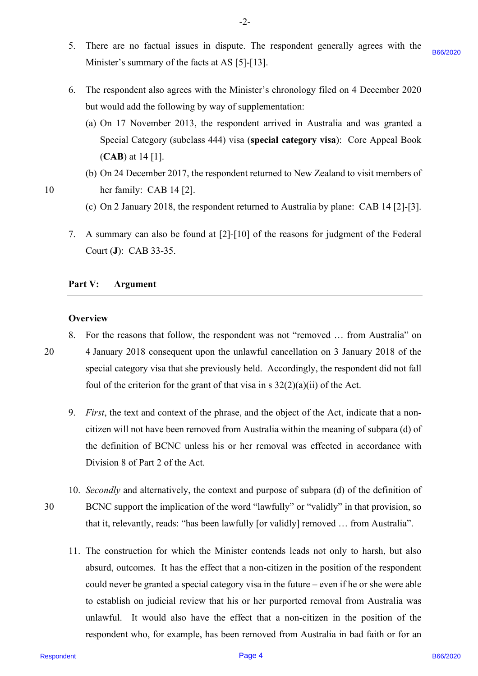- 5. There are no factual issues in dispute. The respondent generally agrees with the 5. There are no factual issues in dispute. The respondent generally agrees with the Minister's summary of the facts at AS [5]-[13]. Minister's summary of the facts at AS [5]-[13]. B66/2020
- 6. The respondent also agrees with the Minister's chronology filed on 4 December 2020 The respondent also agrees with the Minister's chronology filed on 4 December 2020 but would add the following by way of supplementation: but would add the following by way of supplementation:
	- (a) On 17 November 2013, the respondent arrived in Australia and was granted a (a) On 17 November 2013, the respondent arrived in Australia and was granted a Special Category (subclass 444) visa (**special category visa**): Core Appeal Book Special Category (subclass 444) visa (special category visa): Core Appeal Book (**CAB**) at 14 [1]. (CAB) at 14 [1].
- (b) On 24 December 2017, the respondent returned to New Zealand to visit members of (b) On 24 December 2017, the respondent returned to New Zealand to visit members of 10 her family: CAB 14 [2]. her family: CAB 14 [2].
	- (c) On 2 January 2018, the respondent returned to Australia by plane: CAB 14 [2]-[3]. (c) On 2 January 2018, the respondent returned to Australia by plane: CAB 14 [2]-[3].
	- 7. A summary can also be found at [2]-[10] of the reasons for judgment of the Federal A summary can also be found at [2]-[10] of the reasons for judgment of the Federal Court (**J**): CAB 33-35. Court (J): CAB 33-35.

# Part V: **Argument**

### **Overview** Overview

- 8. For the reasons that follow, the respondent was not "removed … from Australia" on 8. For the reasons that follow, the respondent was not "removed ... from Australia" on 20 4 January 2018 consequent upon the unlawful cancellation on 3 January 2018 of the 4 January 2018 consequent upon the unlawful cancellation on <sup>3</sup> January 2018 of the special category visa that she previously held. Accordingly, the respondent did not fall special category visa that she previously held. Accordingly, the respondent did not fall foul of the criterion for the grant of that visa in s  $32(2)(a)(ii)$  of the Act. 20
	- 9. *First*, the text and context of the phrase, and the object of the Act, indicate that a non-First, the text and context of the phrase, and the object of the Act, indicate that a noncitizen will not have been removed from Australia within the meaning of subpara (d) of citizen will not have been removed from Australia within the meaning of subpara (d) of the definition of BCNC unless his or her removal was effected in accordance with the definition of BCNC unless his or her removal was effected in accordance with Division 8 of Part 2 of the Act. Division <sup>8</sup> of Part <sup>2</sup> of the Act.
- 10. *Secondly* and alternatively, the context and purpose of subpara (d) of the definition of 10. Secondly and alternatively, the context and purpose of subpara (d) of the definition of30 BCNC support the implication of the word "lawfully" or "validly" in that provision, so BCNC support the implication of the word "lawfully" or "validly" in that provision, so that it, relevantly, reads: "has been lawfully [or validly] removed … from Australia". that it, relevantly, reads: "has been lawfully [or validly] removed ... from Australia".
- 11. The construction for which the Minister contends leads not only to harsh, but also 11. The construction for which the Minister contends leads not only to harsh, but also absurd, outcomes. It has the effect that a non-citizen in the position of the respondent absurd, outcomes. It has the effect that <sup>a</sup> non-citizen in the position of the respondent could never be granted a special category visa in the future – even if he or she were able to establish on judicial review that his or her purported removal from Australia was to establish on judicial review that his or her purported removal from Australia was unlawful. It would also have the effect that a non-citizen in the position of the unlawful. It would also have the effect that a non-citizen in the position of the respondent who, for example, has been removed from Australia in bad faith or for an Minister's startuneary of the factor at AS [5] [13].<br>
6. The expondent also agrees with the Minister's chronology filed on 4 December 2020<br>
bar would add the following by say of superbenetizations:<br>
(a) On 17 Newtonber 20

30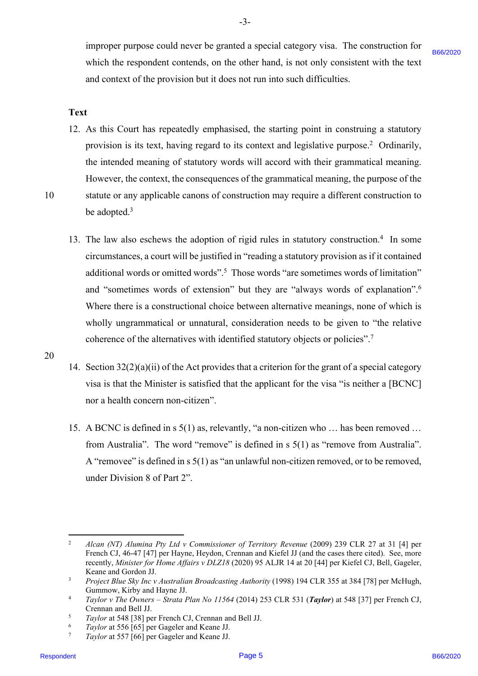B66/2020

improper purpose could never be granted a special category visa. The construction for improper purpose could never be granted <sup>a</sup> special category visa. The construction for which the respondent contends, on the other hand, is not only consistent with the text and context of the provision but it does not run into such difficulties. and context of the provision but it does not run into such difficulties.

### **Text** Text

12. As this Court has repeatedly emphasised, the starting point in construing a statutory 12. As this Court has repeatedly emphasised, the starting point in construing <sup>a</sup> statutory provision is its text, having regard to its context and legislative purpose.<sup>2</sup> Ordinarily, the intended meaning of statutory words will accord with their grammatical meaning. However, the context, the consequences of the grammatical meaning, the purpose of the However, the context, the consequences of the grammatical meaning, the purpose of the

- 10 statute or any applicable canons of construction may require a different construction to be adopted. 3 be adopted.?
- 13. The law also eschews the adoption of rigid rules in statutory construction.4 In some 13. The law also eschews the adoption of rigid rules in statutory construction.4 In some circumstances, a court will be justified in "reading a statutory provision as if it contained circumstances, <sup>a</sup> court will be justified in "reading <sup>a</sup> statutory provision as ifit contained additional words or omitted words".<sup>5</sup> Those words "are sometimes words of limitation" and "sometimes words of extension" but they are "always words of explanation".6 and "sometimes words of extension" but they are "always words of explanation".® Where there is a constructional choice between alternative meanings, none of which is Where there is <sup>a</sup> constructional choice between alternative meanings, none of which is wholly ungrammatical or unnatural, consideration needs to be given to "the relative wholly ungrammatical or unnatural, consideration needs to be given to "the relative coherence of the alternatives with identified statutory objects or policies".<sup>7</sup> which the respondent contents, on the other hand, is we only consistent with the text of the state of the state of the state of the state of the state of the state of the state of the state of the state of the state of th
	- 14. Section 32(2)(a)(ii) of the Act provides that a criterion for the grant of a special category 14. Section 32(2)(a)(ii) of the Act provides that <sup>a</sup> criterion for the grant of <sup>a</sup> special category visa is that the Minister is satisfied that the applicant for the visa "is neither a [BCNC] nor a health concern non-citizen". nor a health concern non-citizen".
	- 15. A BCNC is defined in s 5(1) as, relevantly, "a non-citizen who … has been removed … 15. A BCNC is defined in <sup>s</sup> 5(1) as, relevantly, "a non-citizen who ... has been removed ... from Australia". The word "remove" is defined in s 5(1) as "remove from Australia". from Australia". The word "remove" is defined in <sup>s</sup> 5(1) as "remove from Australia". A "removee" is defined in s 5(1) as "an unlawful non-citizen removed, or to be removed, A "removee" is defined in <sup>s</sup> 5(1) as "an unlawful non-citizen removed, or to be removed, under Division 8 of Part 2". under Division 8 of Part 2".
- <sup>6</sup> *Taylor* at 556 [65] per Gageler and Keane JJ.
- <sup>7</sup> *Taylor* at 557 [66] per Gageler and Keane JJ. 7 Taylor at 557 [66] per Gageler and Keane JJ.

<sup>&</sup>lt;sup>2</sup> Alcan (NT) Alumina Pty Ltd v Commissioner of Territory Revenue (2009) 239 CLR 27 at 31 [4] per French CJ, 46-47 [47] per Hayne, Heydon, Crennan and Kiefel JJ (and the cases there cited). See, more French CJ, 46-47 [47] per Hayne, Heydon, Crennan and Kiefel JJ (and the cases there cited). See, more recently, Minister for Home Affairs v DLZ18 (2020) 95 ALJR 14 at 20<sup>[44]</sup> per Kiefel CJ, Bell, Gageler, Keane and Gordon JJ.

<sup>&</sup>lt;sup>3</sup> Project Blue Sky Inc v Australian Broadcasting Authority (1998) 194 CLR 355 at 384 [78] per McHugh, Gummow, Kirby and Hayne JJ.

<sup>4</sup> *Taylor v The Owners – Strata Plan No 11564* (2014) 253 CLR 531 (*Taylor*) at 548 [37] per French CJ, <sup>4</sup> Taylor v The Owners — Strata Plan No 11564 (2014) 253 CLR 531 (Taylor) at 548 [37] per French CJ, Crennan and Bell JJ. Crennan and Bell JJ.

<sup>&</sup>lt;sup>5</sup> *Taylor* at 548 [38] per French CJ, Crennan and Bell JJ.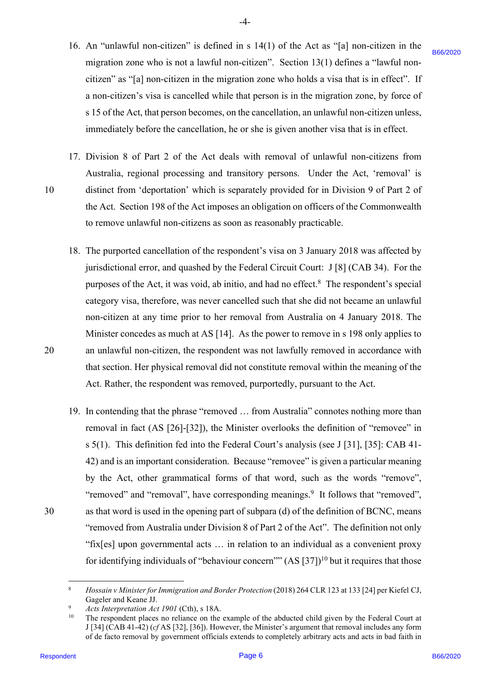16. An "unlawful non-citizen" is defined in s  $14(1)$  of the Act as "[a] non-citizen in the migration zone who is not a lawful non-citizen". Section 13(1) defines a "lawful non-migration zone who is not <sup>a</sup> lawful non-citizen". Section 13(1) defines <sup>a</sup> "lawful noncitizen" as "[a] non-citizen in the migration zone who holds a visa that is in effect". If a non-citizen's visa is cancelled while that person is in the migration zone, by force of <sup>a</sup> non-citizen's visa is cancelled while that person is in the migration zone, by force ofs 15 of the Act, that person becomes, on the cancellation, an unlawful non-citizen unless, <sup>s</sup> <sup>15</sup> ofthe Act, that person becomes, on the cancellation, an unlawful non-citizen unless, immediately before the cancellation, he or she is given another visa that is in effect. immediately before the cancellation, he or she is given another visa that is in effect.

-4- -4-

- 17. Division 8 of Part 2 of the Act deals with removal of unlawful non-citizens from 17. Division <sup>8</sup> of Part 2 of the Act deals with removal of unlawful non-citizens from Australia, regional processing and transitory persons. Under the Act, 'removal' is Australia, regional processing and transitory persons. Under the Act, 'removal' is 10 distinct from 'deportation' which is separately provided for in Division 9 of Part 2 of the Act. Section 198 of the Act imposes an obligation on officers of the Commonwealth the Act. Section 198 of the Act imposes an obligation on officers of the Commonwealth to remove unlawful non-citizens as soon as reasonably practicable. to remove unlawful non-citizens as soon as reasonably practicable.
- 18. The purported cancellation of the respondent's visa on 3 January 2018 was affected by The purported cancellation of the respondent's visa on <sup>3</sup> January 2018 was affected by 18. jurisdictional error, and quashed by the Federal Circuit Court: J [8] (CAB 34). For the purposes of the Act, it was void, ab initio, and had no effect.<sup>8</sup> The respondent's special category visa, therefore, was never cancelled such that she did not became an unlawful category visa, therefore, was never cancelled such that she did not became an unlawful non-citizen at any time prior to her removal from Australia on 4 January 2018. The non-citizen at any time prior to her removal from Australia on 4 January 2018. The Minister concedes as much at AS [14]. As the power to remove in s 198 only applies to Minister concedes as much at AS [14]. As the power to remove in <sup>s</sup> 198 only applies to 20 an unlawful non-citizen, the respondent was not lawfully removed in accordance with that section. Her physical removal did not constitute removal within the meaning of the that section. Her physical removal did not constitute removal within the meaning of the Act. Rather, the respondent was removed, purportedly, pursuant to the Act. Act. Rather, the respondent was removed, purportedly, pursuant to the Act.
- 19. In contending that the phrase "removed ... from Australia" connotes nothing more than removal in fact (AS [26]-[32]), the Minister overlooks the definition of "removee" in s 5(1). This definition fed into the Federal Court's analysis (see J [31], [35]: CAB 41- <sup>s</sup> 5(1). This definition fed into the Federal Court's analysis (see <sup>J</sup> [31], [35]: CAB 41- 42) and is an important consideration. Because "removee" is given a particular meaning 42) and is an important consideration. Because "removee" is given aparticular meaning by the Act, other grammatical forms of that word, such as the words "remove", by the Act, other grammatical forms of that word, such as the words "remove", "removed" and "removal", have corresponding meanings.<sup>9</sup> It follows that "removed", 30 as that word is used in the opening part of subpara (d) of the definition of BCNC, means as that word is used in the opening part of subpara (d) of the definition of BCNC, means "removed from Australia under Division 8 of Part 2 of the Act". The definition not only "removed from Australia under Division <sup>8</sup> of Part 2 of the Act". The definition not only "fix[es] upon governmental acts … in relation to an individual as a convenient proxy "fix[es] upon governmental acts ... in relation to an individual as <sup>a</sup> convenient proxy for identifying individuals of "behaviour concern"" (AS  $[37]$ <sup>10</sup> but it requires that those migration some who is not a landid rom-stituent. Section 13(1) defines a "landid rom-<br>eithered "6 "[9] pass-cluze in the halon migration zone who leads a view that is in effect. "If the control is a more information and a

30

<sup>&</sup>lt;sup>8</sup> Hossain v Minister for Immigration and Border Protection (2018) 264 CLR 123 at 133 [24] per Kiefel CJ, Gageler and Keane JJ. 8

 $\alpha$ Acts Interpretation Act 1901 (Cth), s 18A.

<sup>&</sup>lt;sup>9</sup> *Acts Interpretation Act 1901* (Cth), s 18A.<br><sup>10</sup> The respondent places no reliance on the example of the abducted child given by the Federal Court at J [34] (CAB 41-42) (*cf* AS [32], [36]). However, the Minister's argument that removal includes any form <sup>J</sup> [34] (CAB 41-42) (cfAS [32], [36]). However, the Minister's argument that removal includes any form of de facto removal by government officials extends to completely arbitrary acts and acts in bad faith in 10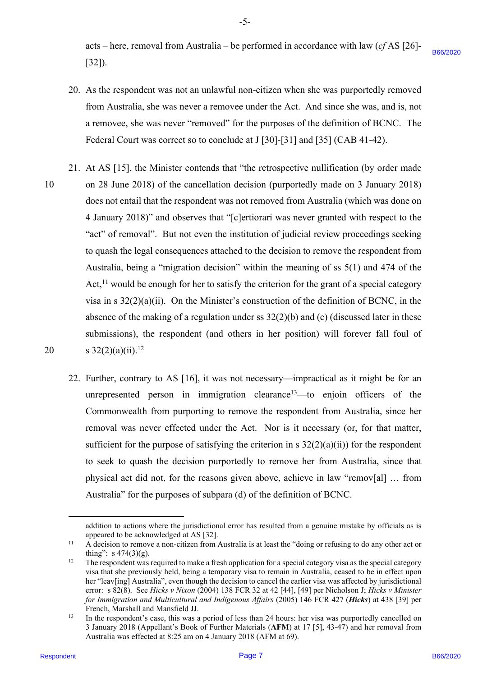acts – here, removal from Australia – be performed in accordance with law (*cf* AS [26]- acts — here, removal from Australia — be performed in accordance with law (cfAS [26]- [32]). [32]). B66/2020

- 20. As the respondent was not an unlawful non-citizen when she was purportedly removed 20. As the respondent was not an unlawful non-citizen when she was purportedly removed from Australia, she was never a removee under the Act. And since she was, and is, not from Australia, she was never a removee under the Act. And since she was, and is,not a removee, she was never "removed" for the purposes of the definition of BCNC. The <sup>a</sup> removee, she was never "removed" for the purposes of the definition of BCNC. The Federal Court was correct so to conclude at J [30]-[31] and [35] (CAB 41-42). Federal Court was correct so to conclude at <sup>J</sup> [30]-[31] and [35] (CAB 41-42).
- 21. At AS [15], the Minister contends that "the retrospective nullification (by order made 21. At AS [15], the Minister contends that "the retrospective nullification (by order made 10 on 28 June 2018) of the cancellation decision (purportedly made on 3 January 2018) on 28 June 2018) of the cancellation decision (purportedly made on <sup>3</sup> January 2018) does not entail that the respondent was not removed from Australia (which was done on does not entail that the respondent was not removed from Australia (which was done on 4 January 2018)" and observes that "[c]ertiorari was never granted with respect to the 4 January 2018)" and observes that "[c]ertiorari was never granted with respect to the "act" of removal". But not even the institution of judicial review proceedings seeking "act" of removal". But not even the institution of judicial review proceedings seeking to quash the legal consequences attached to the decision to remove the respondent from to quash the legal consequences attached to the decision to remove the respondent from Australia, being a "migration decision" within the meaning of ss 5(1) and 474 of the Australia, being <sup>a</sup> "migration decision" within the meaning of ss 5(1) and 474 of the Act,<sup>11</sup> would be enough for her to satisfy the criterion for the grant of a special category visa in s  $32(2)(a)(ii)$ . On the Minister's construction of the definition of BCNC, in the absence of the making of a regulation under ss 32(2)(b) and (c) (discussed later in these absence of the making of <sup>a</sup> regulation under ss 32(2)(b) and (c) (discussed later in these submissions), the respondent (and others in her position) will forever fall foul of submissions), the respondent (and others in her position) will forever fall foul of 20 s  $32(2)(a)(ii).<sup>12</sup>$ [121]).<br>
20. As the respondent was not an university to ex-drist or when show as perpertely convered<br>
from Antalia, the was never a terms of the frequency and is seen as a set of the set of the set of the set of<br>
a remove 10
	- 22. Further, contrary to AS [16], it was not necessary—impractical as it might be for an 22. Further, contrary to AS [16], it was not necessary—impractical as it might be for an unrepresented person in immigration clearance<sup>13</sup>—to enjoin officers of the Commonwealth from purporting to remove the respondent from Australia, since her Commonwealth from purporting to remove the respondent from Australia, since her removal was never effected under the Act. Nor is it necessary (or, for that matter, sufficient for the purpose of satisfying the criterion in s  $32(2)(a)(ii)$  for the respondent to seek to quash the decision purportedly to remove her from Australia, since that to seek to quash the decision purportedly to remove her from Australia, since that physical act did not, for the reasons given above, achieve in law "remov[al] … from physical act did not, for the reasons given above, achieve in law "remov{al] ... from Australia" for the purposes of subpara (d) of the definition of BCNC. Australia" for the purposes of subpara (d) of the definition of BCNC.

20

-5- 5-

addition to actions where the jurisdictional error has resulted from a genuine mistake by officials as is appeared to be acknowledged at AS [32].

<sup>11</sup> A decision to remove a non-citizen from Australia is at least the "doing or refusing to do any other act or A decision to remove a non-citizen from Australia is at least the "doing or refusing to do any other act or thing": s  $474(3)(g)$ .

 $12$  The respondent was required to make a fresh application for a special category visa as the special category visa that she previously held, being a temporary visa to remain in Australia, ceased to be in effect upon visa that she previously held, being a temporary visa to remain in Australia, ceased to be in effect upon her "leav[ing] Australia", even though the decision to cancel the earlier visa was affected by jurisdictional her "leav[ing] Australia", even though the decision to cancel the earlier visa was affected by jurisdictional error: s 82(8). See *Hicks v Nixon* (2004) 138 FCR 32 at 42 [44], [49] per Nicholson J; *Hicks v Minister*  error: s 82(8). See Hicks v Nixon (2004) 138 FCR 32 at 42 [44], [49] per Nicholson J; Hicks v Minister for Immigration and Multicultural and Indigenous Affairs (2005) 146 FCR 427 (Hicks) at 438 [39] per French, Marshall and Mansfield JJ.

<sup>&</sup>lt;sup>13</sup> In the respondent's case, this was a period of less than 24 hours: her visa was purportedly cancelled on 3 January 2018 (Appellant's Book of Further Materials (**AFM**) at 17 [5], 43-47) and her removal from <sup>3</sup> January 2018 (Appellant's Book of Further Materials (AFM) at 17 [5], 43-47) and her removal from Australia was effected at 8:25 am on 4 January 2018 (AFM at 69). Australia was effected at 8:25 am on 4 January 2018 (AFM at 69).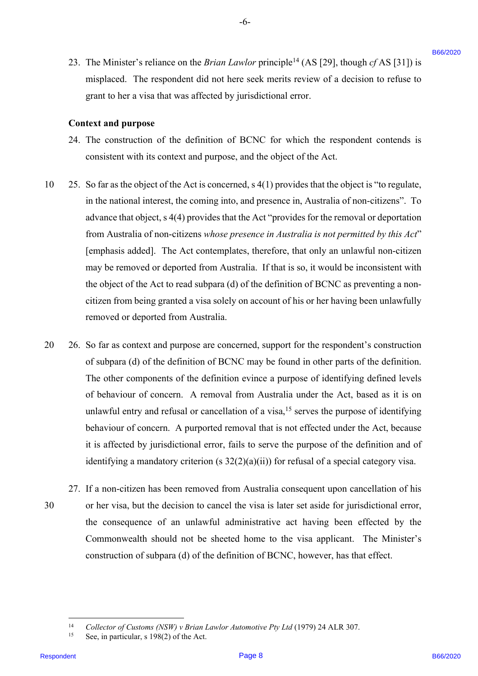23. The Minister's reliance on the *Brian Lawlor* principle<sup>14</sup> (AS [29], though  $cf$  AS [31]) is misplaced. The respondent did not here seek merits review of a decision to refuse to misplaced. The respondent did not here seek merits review of <sup>a</sup> decision to refuse to grant to her a visa that was affected by jurisdictional error.

-6-

### **Context and purpose** Context and purpose

- 24. The construction of the definition of BCNC for which the respondent contends is 24. The construction of the definition of BCNC for which the respondent contends is consistent with its context and purpose, and the object of the Act. consistent with its context and purpose, and the object of the Act.
- 10 25. So far as the object of the Act is concerned, s 4(1) provides that the object is "to regulate, 10.25. So far as the object of the Act is concerned, <sup>s</sup> 4(1) provides that the object is "to regulate, in the national interest, the coming into, and presence in, Australia of non-citizens". To in the national interest, the coming into, and presence in, Australia of non-citizens". To advance that object, s 4(4) provides that the Act "provides for the removal or deportation advance that object, <sup>s</sup> 4(4) provides that the Act "provides for the removal or deportation from Australia of non-citizens *whose presence in Australia is not permitted by this Act*" from Australia of non-citizens whose presence in Australia is not permitted by this Act" [emphasis added]. The Act contemplates, therefore, that only an unlawful non-citizen [emphasis added]. The Act contemplates, therefore, that only an unlawful non-citizen may be removed or deported from Australia. If that is so, it would be inconsistent with may be removed or deported from Australia. If that is so, it would be inconsistent with the object of the Act to read subpara (d) of the definition of BCNC as preventing a non-the object of the Act to read subpara (d) of the definition of BCNC as preventing <sup>a</sup> noncitizen from being granted a visa solely on account of his or her having been unlawfully citizen from being granted a visa solely on account of his or her having been unlawfully removed or deported from Australia. removed or deported from Australia. 23. The Minister's reliance on the *Brista Landor* principle <sup>4</sup> (AS [29], though  $q/38$  [11]) is miglipled The respondent B6 at the set with matrix of decision to reliance the proposition of the set of the set of the con
- 20 26. So far as context and purpose are concerned, support for the respondent's construction 20 26. So far as context and purpose are concerned, support for the respondent's construction of subpara (d) of the definition of BCNC may be found in other parts of the definition. of subpara (d) of the definition of BCNC may be found in other parts of the definition. The other components of the definition evince a purpose of identifying defined levels The other components of the definition evince <sup>a</sup> purpose of identifying defined levels of behaviour of concern. A removal from Australia under the Act, based as it is on of behaviour of concern. A removal from Australia under the Act, based as it is on unlawful entry and refusal or cancellation of a visa,<sup>15</sup> serves the purpose of identifying behaviour of concern. A purported removal that is not effected under the Act, because behaviour of concern. A purported removal that is not effected under the Act, because it is affected by jurisdictional error, fails to serve the purpose of the definition and of identifying a mandatory criterion (s 32(2)(a)(ii)) for refusal of a special category visa. identifying a mandatory criterion (s 32(2)(a)(ii)) for refusal of a special category visa.
- 27. If a non-citizen has been removed from Australia consequent upon cancellation of his 27. If <sup>a</sup> non-citizen has been removed from Australia consequent upon cancellation of his 30 or her visa, but the decision to cancel the visa is later set aside for jurisdictional error, or her visa, but the decision to cancel the visa is later set aside for jurisdictional error, the consequence of an unlawful administrative act having been effected by the the consequence of an unlawful administrative act having been effected by the Commonwealth should not be sheeted home to the visa applicant. The Minister's Commonwealth should not be sheeted home to the visa applicant. The Minister's construction of subpara (d) of the definition of BCNC, however, has that effect. 30

<sup>&</sup>lt;sup>14</sup> Collector of Customs (NSW) v Brian Lawlor Automotive Pty Ltd (1979) 24 ALR 307.

<sup>15</sup> See, in particular, s 198(2) of the Act. See, in particular, <sup>s</sup> 198(2) of the Act.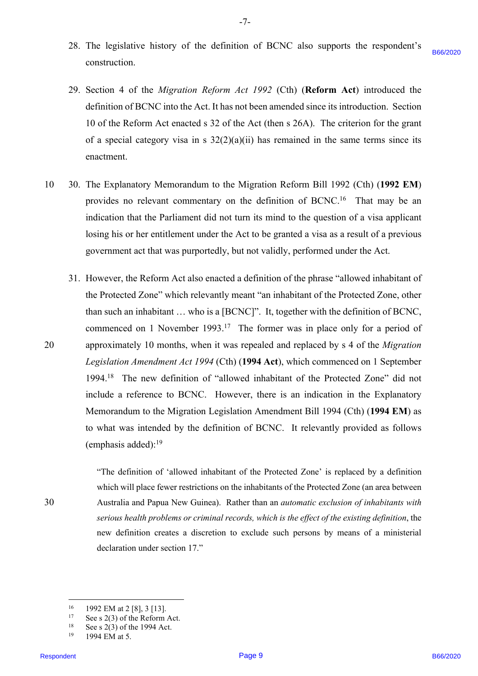- 28. The legislative history of the definition of BCNC also supports the respondent's 28. The legislative history of the definition of BCNC also supports the respondent's construction. construction. B66/2020
- 29. Section 4 of the *Migration Reform Act 1992* (Cth) (**Reform Act**) introduced the 29. Section 4 of the Migration Reform Act 1992 (Cth) (Reform Act) introduced the definition of BCNC into the Act. It has not been amended since its introduction. Section definition of BCNC into the Act. It has not been amended since its introduction. Section 10 of the Reform Act enacted s 32 of the Act (then s 26A). The criterion for the grant 10 of the Reform Act enacted <sup>s</sup> 32 of the Act (then <sup>s</sup> 26A). The criterion for the grant of a special category visa in s  $32(2)(a)(ii)$  has remained in the same terms since its enactment. enactment.
- 10 30. The Explanatory Memorandum to the Migration Reform Bill 1992 (Cth) (**1992 EM**) 10-30. The Explanatory Memorandum to the Migration Reform Bill 1992 (Cth) (1992 EM) provides no relevant commentary on the definition of BCNC.<sup>16</sup> That may be an indication that the Parliament did not turn its mind to the question of a visa applicant indication that the Parliament did not turn its mind to the question of a visa applicant losing his or her entitlement under the Act to be granted a visa as a result of a previous losing his or her entitlement under the Act to be granted <sup>a</sup> visa as <sup>a</sup> result of <sup>a</sup> previous government act that was purportedly, but not validly, performed under the Act. government act that was purportedly, but not validly, performed under the Act.
- 31. However, the Reform Act also enacted a definition of the phrase "allowed inhabitant of 31. However, the Reform Act also enacted <sup>a</sup> definition of the phrase "allowed inhabitant of the Protected Zone" which relevantly meant "an inhabitant of the Protected Zone, other than such an inhabitant ... who is a [BCNC]". It, together with the definition of BCNC, commenced on 1 November 1993.<sup>17</sup> The former was in place only for a period of 20 approximately 10 months, when it was repealed and replaced by s 4 of the *Migration*  approximately 10 months, when it was repealed and replaced by <sup>s</sup> 4 of the Migration *Legislation Amendment Act 1994* (Cth) (**1994 Act**), which commenced on 1 September Legislation Amendment Act 1994 (Cth) (1994 Act), which commenced on 1 September 1994.18 The new definition of "allowed inhabitant of the Protected Zone" did not 1994.'8 The new definition of "allowed inhabitant of the Protected Zone" did not include a reference to BCNC. However, there is an indication in the Explanatory include a reference to BCNC. However, there is an indication in the Explanatory Memorandum to the Migration Legislation Amendment Bill 1994 (Cth) (**1994 EM**) as Memorandum to the Migration Legislation Amendment Bill 1994 (Cth) (1994 EM) as to what was intended by the definition of BCNC. It relevantly provided as follows to what was intended by the definition of BCNC. It relevantly provided as follows (emphasis added):<sup>19</sup> construction,<br>29. Section 4 of the Afgorator Reform Act 1992 (Chi) (Reform Act) introduced the<br>dimitiants field of the Reform Act must have the memorial since introduction, Section<br>10 of the Reform Act more 6:32 of the Ar

"The definition of 'allowed inhabitant of the Protected Zone' is replaced by a definition "The definition of 'allowed inhabitant of the Protected Zone' is replaced by a definition which will place fewer restrictions on the inhabitants of the Protected Zone (an area between which will place fewer restrictions on the inhabitants of the Protected Zone (an area between 30 Australia and Papua New Guinea). Rather than an *automatic exclusion of inhabitants with* Australia and Papua New Guinea). Rather than an automatic exclusion of inhabitants with serious health problems or criminal records, which is the effect of the existing definition, the new definition creates a discretion to exclude such persons by means of a ministerial new definition creates a discretion to exclude such persons by means of a ministerial declaration under section 17." declaration under section 17."

20

<sup>16</sup> 1992 EM at 2 [8], 3 [13]. 1992 EM at 2 [8], <sup>3</sup> [13].

 $17$  See s 2(3) of the Reform Act.

 $18$  See s 2(3) of the 1994 Act.

<sup>19</sup> 1994 EM at 5. 1994 EM at 5.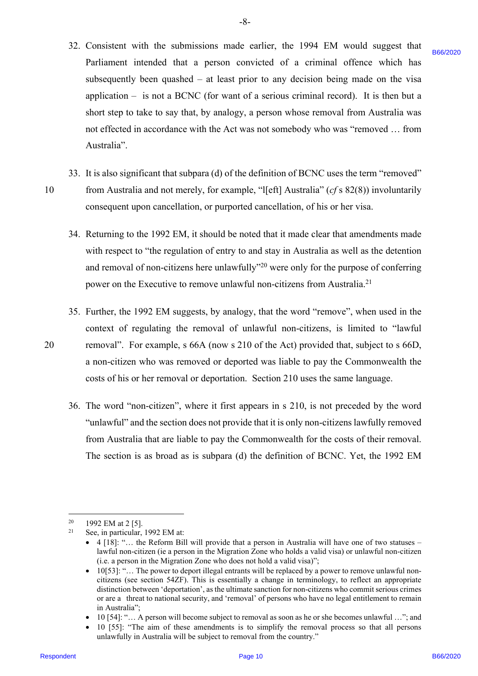32. Consistent with the submissions made earlier, the 1994 EM would suggest that Consistent with the submissions made earlier, the 1994 EM would suggest that 32. Parliament intended that a person convicted of a criminal offence which has Parliament intended that a person convicted of a criminal offence which has subsequently been quashed – at least prior to any decision being made on the visa subsequently been quashed —at least prior to any decision being made on the visa application – is not a BCNC (for want of a serious criminal record). It is then but a<br>short step to take to say that, by analogy, a person whose removal from Australia was short step to take to say that, by analogy, a person whose removal from Australia was not effected in accordance with the Act was not somebody who was "removed … from not effected in accordance with the Act was not somebody who was "removed ... from Australia". Australia". Particularel the heat also a greeour convided of a criminal offered which as<br>absorption of the particular of the spondent B66/2020 and the distribution of the via<br>single case of the spondent B66/2020 Page 10. In the spond

-8- -8-

- 33. It is also significant that subpara (d) of the definition of BCNC uses the term "removed" 10 from Australia and not merely, for example, "l[eft] Australia" (*cf* s 82(8)) involuntarily consequent upon cancellation, or purported cancellation, of his or her visa. consequent upon cancellation, or purported cancellation, of his or her visa.
	- 34. Returning to the 1992 EM, it should be noted that it made clear that amendments made Returning to the 1992 EM, it should be noted that it made clear that amendments made 34. with respect to "the regulation of entry to and stay in Australia as well as the detention with respect to "the regulation of entry to and stay in Australia as well as the detention and removal of non-citizens here unlawfully"<sup>20</sup> were only for the purpose of conferring power on the Executive to remove unlawful non-citizens from Australia.<sup>21</sup>
- 35. Further, the 1992 EM suggests, by analogy, that the word "remove", when used in the Further, the 1992 EM suggests, by analogy, that the word "remove", when used in the 35. context of regulating the removal of unlawful non-citizens, is limited to "lawful context of regulating the removal of unlawful non-citizens, is limited to "lawful 20 removal". For example, s 66A (now s 210 of the Act) provided that, subject to s 66D, removal". For example, <sup>s</sup> 66A (now <sup>s</sup> 210 of the Act) provided that, subject to <sup>s</sup> 66D, a non-citizen who was removed or deported was liable to pay the Commonwealth the <sup>a</sup> non-citizen who was removed or deported was liable to pay the Commonwealth the costs of his or her removal or deportation. Section 210 uses the same language. costs of his or her removal or deportation. Section 210 uses the same language.
	- 36. The word "non-citizen", where it first appears in s 210, is not preceded by the word "unlawful" and the section does not provide that it is only non-citizens lawfully removed from Australia that are liable to pay the Commonwealth for the costs of their removal. from Australia that are liable to pay the Commonwealth for the costs of their removal. The section is as broad as is subpara (d) the definition of BCNC. Yet, the 1992 EM The section is as broad as is subpara (d) the definition of BCNC. Yet, the 1992 EM

<sup>&</sup>lt;sup>20</sup> 1992 EM at 2 [5].  $20$ 21

<sup>21</sup> See, in particular, 1992 EM at: See, in particular, 1992 EM at:

<sup>• 4 [18]: &</sup>quot;... the Reform Bill will provide that a person in Australia will have one of two statuses lawful non-citizen (ie a person in the Migration Zone who holds a valid visa) or unlawful non-citizen lawful non-citizen (ie a person in the Migration Zone who holds a valid visa) or unlawful non-citizen (i.e. a person in the Migration Zone who does not hold a valid visa)"; (i.e. a person in the Migration Zone who does not hold a valid visa)";

<sup>•</sup> 10[53]: "… The power to deport illegal entrants will be replaced by a power to remove unlawful non-<sup>e</sup> 10[53]:"... The power to deport illegal entrants will be replaced by a power to remove unlawful noncitizens (see section 54ZF). This is essentially a change in terminology, to reflect an appropriate citizens (see section 54ZF). This is essentially a change in terminology, to reflect an appropriate distinction between 'deportation', as the ultimate sanction for non-citizens who commit serious crimes distinction between 'deportation', as the ultimate sanction for non-citizens who commit serious crimes or are a threat to national security, and 'removal' of persons who have no legal entitlement to remain in Australia"; in Australia";

<sup>•</sup> 10 [54]: "… A person will become subject to removal as soon as he or she becomes unlawful …"; and <sup>e</sup> 10 [54]:"... A person will become subject to removal as soon as he or she becomes unlawful ..."; and

<sup>•</sup> 10 [55]: "The aim of these amendments is to simplify the removal process so that all persons <sup>e</sup> 10 [55]: "The aim of these amendments is to simplify the removal process so that all persons unlawfully in Australia will be subject to removal from the country." unlawfully in Australia will be subject to removal from the country."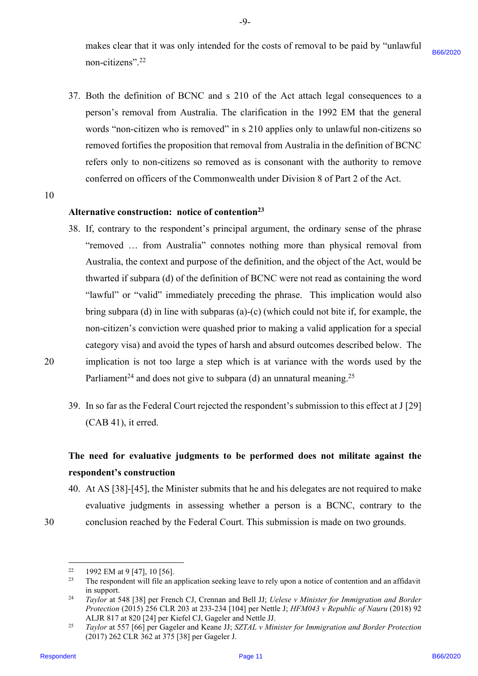makes clear that it was only intended for the costs of removal to be paid by "unlawful makes clear that it was only intended for the costs of removal to be paid by "unlawful non-citizens". 22 non-citizens"'.2? B66/2020

- 37. Both the definition of BCNC and s 210 of the Act attach legal consequences to a 37. Both the definition of BCNC and <sup>s</sup> 210 of the Act attach legal consequences to aperson's removal from Australia. The clarification in the 1992 EM that the general person's removal from Australia. The clarification in the 1992 EM that the general words "non-citizen who is removed" in s 210 applies only to unlawful non-citizens so removed fortifies the proposition that removal from Australia in the definition of BCNC refers only to non-citizens so removed as is consonant with the authority to remove refers only to non-citizens so removed as is consonant with the authority to remove conferred on officers of the Commonwealth under Division 8 of Part 2 of the Act.
- 10 10

# Alternative construction: notice of contention<sup>23</sup>

- 38. If, contrary to the respondent's principal argument, the ordinary sense of the phrase If, contrary to the respondent's principal argument, the ordinary sense of the phrase 38. "removed … from Australia" connotes nothing more than physical removal from "removed ... from Australia" connotes nothing more than physical removal from Australia, the context and purpose of the definition, and the object of the Act, would be Australia, the context and purpose of the definition, and the object of the Act, would be thwarted if subpara (d) of the definition of BCNC were not read as containing the word thwarted if subpara (d) of the definition of BCNC were not read as containing the word "lawful" or "valid" immediately preceding the phrase. This implication would also bring subpara (d) in line with subparas (a)-(c) (which could not bite if, for example, the bring subpara (d) in line with subparas (a)-(c) (which could not bite if, for example, the non-citizen's conviction were quashed prior to making a valid application for a special non-citizen's conviction were quashed prior to making <sup>a</sup> valid application for a special category visa) and avoid the types of harsh and absurd outcomes described below. The category visa) and avoid the types of harsh and absurd outcomes described below. The 20 implication is not too large a step which is at variance with the words used by the implication is not too large <sup>a</sup> step which is at variance with the words used by the Parliament<sup>24</sup> and does not give to subpara (d) an unnatural meaning.<sup>25</sup> ware existence<sup>-222</sup><br>
37. Both the definition of BCNC and s 210 of the Act attach legal consequences to a<br>
praces is reasonable consequences in a 2020 B6 for the 1992 BM tax the<br>
space is reasonable to the consequence of
- 20
- 39. In so far as the Federal Court rejected the respondent's submission to this effect at J [29] In so far as the Federal Court rejected the respondent's submission to this effect at J [29] 39. (CAB 41), it erred. (CAB 41), it erred.

# **The need for evaluative judgments to be performed does not militate against the**  The need for evaluative judgments to be performed does not militate against the **respondent's construction** respondent's construction

- 40. At AS [38]-[45], the Minister submits that he and his delegates are not required to make 40. At AS [38]-[45], the Minister submits that he and his delegates are not required to make evaluative judgments in assessing whether a person is a BCNC, contrary to the evaluative judgments in assessing whether <sup>a</sup> person is <sup>a</sup> BCNC, contrary to the 30 conclusion reached by the Federal Court. This submission is made on two grounds. conclusion reached by the Federal Court. This submission is made on two grounds.
- 30

 $22$ 1992 EM at 9 [47], 10 [56].

<sup>&</sup>lt;sup>22</sup> 1992 EM at 9 [47], 10 [56].<br><sup>23</sup> The respondent will file an application seeking leave to rely upon a notice of contention and an affidavit in support. 23

<sup>24</sup> *Taylor* at 548 [38] per French CJ, Crennan and Bell JJ; *Uelese v Minister for Immigration and Border*  Taylor at 548 [38] per French CJ, Crennan and Bell JJ; Uelese v Minister for Immigration and Border Protection (2015) 256 CLR 203 at 233-234 [104] per Nettle J; *HFM043 v Republic of Nauru* (2018) 92 ALJR 817 at 820 [24] per Kiefel CJ, Gageler and Nettle JJ. 24

<sup>25</sup> *Taylor* at 557 [66] per Gageler and Keane JJ; *SZTAL v Minister for Immigration and Border Protection* Taylor at 557 [66] per Gageler and Keane JJ; SZTAL v Minister for Immigration and Border Protection (2017) 262 CLR 362 at 375 [38] per Gageler J. (2017) 262 CLR 362 at 375 [38] per Gageler J.25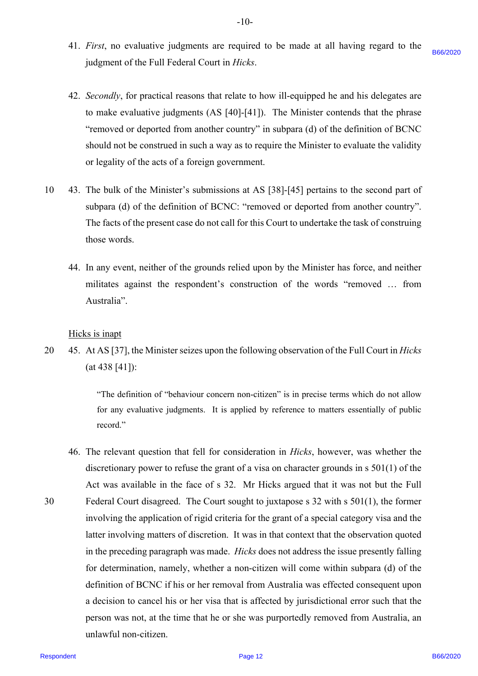- 41. *First*, no evaluative judgments are required to be made at all having regard to the 4l. First, no evaluative judgments are required to be made at all having regard to the judgment of the Full Federal Court in *Hicks*. judgment of the Full Federal Court in Hicks. B66/2020
- 42. *Secondly*, for practical reasons that relate to how ill-equipped he and his delegates are 42. Secondly, for practical reasons that relate to how ill-equipped he and his delegates are to make evaluative judgments (AS [40]-[41]). The Minister contends that the phrase to make evaluative judgments (AS [40]-[41]). The Minister contends that the phrase "removed or deported from another country" in subpara (d) of the definition of BCNC should not be construed in such a way as to require the Minister to evaluate the validity should not be construed in such <sup>a</sup> way as to require the Minister to evaluate the validity or legality of the acts of a foreign government. or legality of the acts of a foreign government.
- 10 43. The bulk of the Minister's submissions at AS [38]-[45] pertains to the second part of 10 43. The bulk of the Minister's submissions at AS [38]-[45] pertains to the second part ofsubpara (d) of the definition of BCNC: "removed or deported from another country". subpara (d) of the definition of BCNC: "removed or deported from another country". The facts of the present case do not call for this Court to undertake the task of construing The facts of the present case do not call for this Court to undertake the task of construing those words. those words.
	- 44. In any event, neither of the grounds relied upon by the Minister has force, and neither 4A. In any event, neither of the grounds relied upon by the Minister has force, and neither militates against the respondent's construction of the words "removed … from militates against the respondent's construction of the words "removed ... from Australia". Australia".

Hicks is inapt Hicks is inapt

20 45. At AS [37], the Minister seizes upon the following observation of the Full Court in *Hicks* 20 45. At AS [37], the Minister seizes upon the following observation of the Full Court in Hicks (at 438 [41]): (at 438 [41]):

> "The definition of "behaviour concern non-citizen" is in precise terms which do not allow "The definition of "behaviour concern non-citizen" is in precise terms which do not allow for any evaluative judgments. It is applied by reference to matters essentially of public record." record."

46. The relevant question that fell for consideration in *Hicks*, however, was whether the 46. The relevant question that fell for consideration in Hicks, however, was whether the discretionary power to refuse the grant of a visa on character grounds in s 501(1) of the discretionary power to refuse the grant of <sup>a</sup> visa on character grounds in <sup>s</sup> 501(1) of the Act was available in the face of s 32. Mr Hicks argued that it was not but the Full Act was available in the face of <sup>s</sup> 32. Mr Hicks argued that it was not but the Full 30 Federal Court disagreed. The Court sought to juxtapose s 32 with s 501(1), the former Federal Court disagreed. The Court sought to juxtapose <sup>s</sup> 32 with <sup>s</sup> 501(1), the former involving the application of rigid criteria for the grant of a special category visa and the involving the application of rigid criteria for the grant of <sup>a</sup> special category visa and the latter involving matters of discretion. It was in that context that the observation quoted latter involving matters of discretion. It was in that context that the observation quoted in the preceding paragraph was made. *Hicks* does not address the issue presently falling in the preceding paragraph was made. Hicks does not address the issue presently falling for determination, namely, whether a non-citizen will come within subpara (d) of the for determination, namely, whether <sup>a</sup> non-citizen will come within subpara (d) of the definition of BCNC if his or her removal from Australia was effected consequent upon definition of BCNC if his or her removal from Australia was effected consequent upon a decision to cancel his or her visa that is affected by jurisdictional error such that the <sup>a</sup> decision to cancel his or her visa that is affected by jurisdictional error such that the person was not, at the time that he or she was purportedly removed from Australia, an person was not, at the time that he or she was purportedly removed from Australia, an unlawful non-citizen. unlawful non-citizen. judgenera of the Full Featural Court in Hitab.<br>
12. Secondly, for practical reasons that relate to loss if looping the and bin delegates are<br>
to make evaluate judgenest (AS 1603-111). The Minister constants that the phase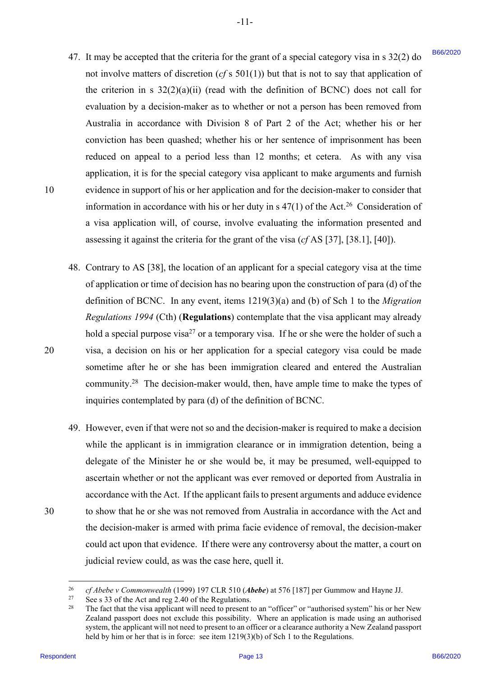47. It may be accepted that the criteria for the grant of a special category visa in s 32(2) do 47. It may be accepted that the criteria for the grant of <sup>a</sup> special category visa in <sup>s</sup> 32(2) do not involve matters of discretion  $(cf \times 501(1))$  but that is not to say that application of the criterion in s  $32(2)(a)(ii)$  (read with the definition of BCNC) does not call for evaluation by a decision-maker as to whether or not a person has been removed from evaluation by <sup>a</sup> decision-maker as to whether or not <sup>a</sup> person has been removed from Australia in accordance with Division 8 of Part 2 of the Act; whether his or her Australia in accordance with Division 8 of Part 2 of the Act; whether his or her conviction has been quashed; whether his or her sentence of imprisonment has been conviction has been quashed; whether his or her sentence of imprisonment has been reduced on appeal to a period less than 12 months; et cetera. As with any visa application, it is for the special category visa applicant to make arguments and furnish application, it is for the special category visa applicant to make arguments and furnish 10 evidence in support of his or her application and for the decision-maker to consider that information in accordance with his or her duty in s  $47(1)$  of the Act.<sup>26</sup> Consideration of a visa application will, of course, involve evaluating the information presented and <sup>a</sup> visa application will, of course, involve evaluating the information presented and assessing it against the criteria for the grant of the visa (*cf* AS [37], [38.1], [40]). assessing it against the criteria for the grant of the visa (cfAS [37], [38.1], [40]). 47. It may be accorded that the crisis and the beginn of the paper of the page 136/20 b the space of the crisis of the crisis of the crisis of the crisis of the crisis of the crisis of the crisis of the crisis of the cris

-11- -l1-

- 48. Contrary to AS [38], the location of an applicant for a special category visa at the time 48. Contrary to AS [38], the location of an applicant for <sup>a</sup> special category visa at the time of application or time of decision has no bearing upon the construction of para (d) of the definition of BCNC. In any event, items 1219(3)(a) and (b) of Sch 1 to the *Migration*  definition of BCNC. In any event, items 1219(3)(a) and (b) of Sch 1 to the Migration *Regulations 1994* (Cth) (**Regulations**) contemplate that the visa applicant may already Regulations 1994 (Cth) (Regulations) contemplate that the visa applicant may already hold a special purpose visa<sup>27</sup> or a temporary visa. If he or she were the holder of such a<br>visa, a decision on his or her application for a special category visa could be made visa, a decision on his or her application for a special category visa could be made sometime after he or she has been immigration cleared and entered the Australian sometime after he or she has been immigration cleared and entered the Australian community.<sup>28</sup> The decision-maker would, then, have ample time to make the types of inquiries contemplated by para (d) of the definition of BCNC. inquiries contemplated by para (d) of the definition of BCNC.
- 49. However, even if that were not so and the decision-maker is required to make a decision 49. However, even ifthat were not so and the decision-maker is required to make <sup>a</sup> decision while the applicant is in immigration clearance or in immigration detention, being a while the applicant is in immigration clearance or in immigration detention, being a delegate of the Minister he or she would be, it may be presumed, well-equipped to delegate of the Minister he or she would be, it may be presumed, well-equipped to ascertain whether or not the applicant was ever removed or deported from Australia in ascertain whether or not the applicant was ever removed or deported from Australia in accordance with the Act. If the applicant fails to present arguments and adduce evidence 30 to show that he or she was not removed from Australia in accordance with the Act and to show that he or she was not removed from Australia in accordance with the Act and the decision-maker is armed with prima facie evidence of removal, the decision-maker the decision-maker is armed with prima facie evidence of removal, the decision-maker could act upon that evidence. If there were any controversy about the matter, a court on judicial review could, as was the case here, quell it. judicial review could, as was the case here, quell it.

30

<sup>&</sup>lt;sup>26</sup> *cf Abebe v Commonwealth* (1999) 197 CLR 510 (*Abebe*) at 576 [187] per Gummow and Hayne JJ. 26

 $27$  See s 33 of the Act and reg 2.40 of the Regulations. 27

<sup>&</sup>lt;sup>28</sup> The fact that the visa applicant will need to present to an "officer" or "authorised system" his or her New Zealand passport does not exclude this possibility. Where an application is made using an authorised Zealand passport does not exclude this possibility. Where an application is made using an authorised system, the applicant will not need to present to an officer or a clearance authority a New Zealand passport system, the applicant will not need to present to an officer or a clearance authority a New Zealand passport held by him or her that is in force: see item 1219(3)(b) of Sch 1 to the Regulations. 28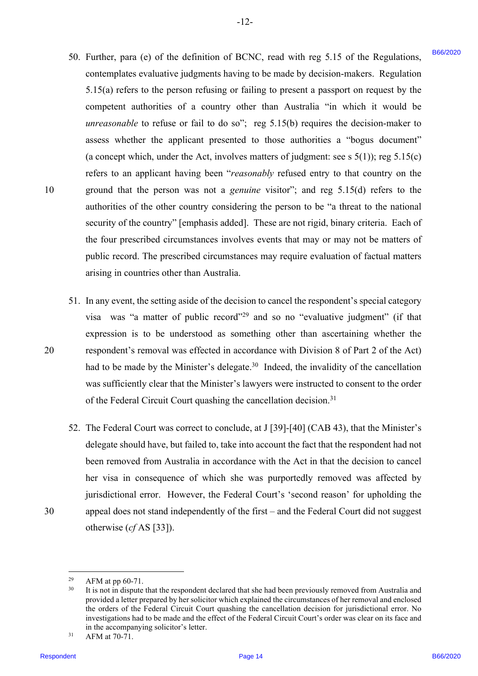50. Further, para (e) of the definition of BCNC, read with reg 5.15 of the Regulations, Further, para (e) of the definition of BCNC, read with reg 5.15 of the Regulations, 50. contemplates evaluative judgments having to be made by decision-makers. Regulation contemplates evaluative judgments having to be made by decision-makers. Regulation 5.15(a) refers to the person refusing or failing to present a passport on request by the 5.15(a) refers to the person refusing or failing to present <sup>a</sup> passport on request by the competent authorities of a country other than Australia "in which it would be competent authorities of <sup>a</sup> country other than Australia "in which it would be *unreasonable* to refuse or fail to do so"; reg 5.15(b) requires the decision-maker to assess whether the applicant presented to those authorities a "bogus document" assess whether the applicant presented to those authorities <sup>a</sup> "bogus document" (a concept which, under the Act, involves matters of judgment: see s  $5(1)$ ); reg  $5.15(c)$ refers to an applicant having been "*reasonably* refused entry to that country on the 10 ground that the person was not a *genuine* visitor"; and reg 5.15(d) refers to the ground that the person was not <sup>a</sup> genuine visitor'; and reg 5.15(d) refers to the authorities of the other country considering the person to be "a threat to the national authorities of the other country considering the person to be "a threat to the national security of the country" [emphasis added]. These are not rigid, binary criteria. Each of security of the country" [emphasis added]. These are not rigid, binary criteria. Each of the four prescribed circumstances involves events that may or may not be matters of the four prescribed circumstances involves events that may or may not be matters ofpublic record. The prescribed circumstances may require evaluation of factual matters public record. The prescribed circumstances may require evaluation of factual matters arising in countries other than Australia. arising in countries other than Australia. 59. Termine, particles of order definition of BCNC, result with reg. 5.15 of the Regulation<br>commentions collaborate pulse method in the section of BCNC, results are considered to the Respondent<br>state of the section of the

 $-12-$ 

- 51. In any event, the setting aside of the decision to cancel the respondent's special category In any event, the setting aside of the decision to cancel the respondent's special category 51. visa was "a matter of public record"<sup>29</sup> and so no "evaluative judgment" (if that expression is to be understood as something other than ascertaining whether the expression is to be understood as something other than ascertaining whether the 20 respondent's removal was effected in accordance with Division 8 of Part 2 of the Act) respondent's removal was effected in accordance with Division <sup>8</sup> of Part 2 of the Act) had to be made by the Minister's delegate.<sup>30</sup> Indeed, the invalidity of the cancellation was sufficiently clear that the Minister's lawyers were instructed to consent to the order was sufficiently clear that the Minister's lawyers were instructed to consent to the order of the Federal Circuit Court quashing the cancellation decision.<sup>31</sup>
- 52. The Federal Court was correct to conclude, at J [39]-[40] (CAB 43), that the Minister's delegate should have, but failed to, take into account the fact that the respondent had not delegate should have, but failed to, take into account the fact that the respondent had not been removed from Australia in accordance with the Act in that the decision to cancel been removed from Australia in accordance with the Act in that the decision to cancel her visa in consequence of which she was purportedly removed was affected by her visa in consequence of which she was purportedly removed was affected by jurisdictional error. However, the Federal Court's 'second reason' for upholding the jurisdictional error. However, the Federal Court's 'second reason' for upholding the 30 appeal does not stand independently of the first – and the Federal Court did not suggest appeal does not stand independently of the first — and the Federal Court did not suggest otherwise (*cf* AS [33]). otherwise (cfAS [33]).

30

 $29$  AFM at pp 60-71. 29

 $30$  It is not in dispute that the respondent declared that she had been previously removed from Australia and provided a letter prepared by her solicitor which explained the circumstances of her removal and enclosed provided a letter prepared by her solicitor which explained the circumstances of her removal and enclosed the orders of the Federal Circuit Court quashing the cancellation decision for jurisdictional error. No the orders of the Federal Circuit Court quashing the cancellation decision for jurisdictional error. No investigations had to be made and the effect of the Federal Circuit Court's order was clear on its face and investigations had to be made and the effect of the Federal Circuit Court's order was clear on its face and in the accompanying solicitor's letter. 30

<sup>31</sup> AFM at 70-71. AFMat 70-71.31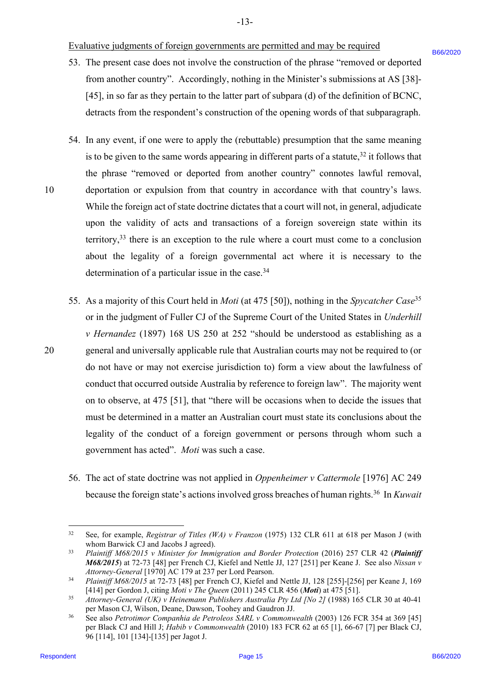### Evaluative judgments of foreign governments are permitted and may be required Evaluative judgments of foreign governments are permitted and may be required

- 53. The present case does not involve the construction of the phrase "removed or deported 53. The present case does not involve the construction of the phrase "removed or deported from another country". Accordingly, nothing in the Minister's submissions at AS [38]- from another country". Accordingly, nothing in the Minister's submissions at AS [38]- [45], in so far as they pertain to the latter part of subpara (d) of the definition of BCNC, [45], in so far as they pertain to the latter part of subpara (d) of the definition of BCNC, detracts from the respondent's construction of the opening words of that subparagraph. detracts from the respondent's construction of the opening words of that subparagraph.
- 54. In any event, if one were to apply the (rebuttable) presumption that the same meaning 54. In any event, if one were to apply the (rebuttable) presumption that the same meaning is to be given to the same words appearing in different parts of a statute,  $32$  it follows that the phrase "removed or deported from another country" connotes lawful removal, the phrase "removed or deported from another country" connotes lawful removal, 10 deportation or expulsion from that country in accordance with that country's laws. deportation or expulsion from that country in accordance with that country's laws. While the foreign act of state doctrine dictates that a court will not, in general, adjudicate While the foreign act of state doctrine dictates that a court will not, in general, adjudicate upon the validity of acts and transactions of a foreign sovereign state within its upon the validity of acts and transactions of <sup>a</sup> foreign sovereign state within its territory,  $33$  there is an exception to the rule where a court must come to a conclusion about the legality of a foreign governmental act where it is necessary to the about the legality of <sup>a</sup> foreign governmental act where it is necessary to the determination of a particular issue in the case. $34$
- 55. As a majority of this Court held in *Moti* (at 475 [50]), nothing in the *Spycatcher Case*<sup>35</sup> or in the judgment of Fuller CJ of the Supreme Court of the United States in *Underhill*  or in the judgment of Fuller CJ of the Supreme Court of the United States in Underhill *v Hernandez* (1897) 168 US 250 at 252 "should be understood as establishing as a *v Hernandez* (1897) 168 US 250 at 252 "should be understood as establishing as a<br>20 general and universally applicable rule that Australian courts may not be required to (or do not have or may not exercise jurisdiction to) form a view about the lawfulness of do not have or may not exercise jurisdiction to) form <sup>a</sup> view about the lawfulness ofconduct that occurred outside Australia by reference to foreign law". The majority went conduct that occurred outside Australia by reference to foreign law". The majority went on to observe, at 475 [51], that "there will be occasions when to decide the issues that must be determined in a matter an Australian court must state its conclusions about the must be determined in <sup>a</sup> matter an Australian court must state its conclusions about the legality of the conduct of a foreign government or persons through whom such a legality of the conduct of <sup>a</sup> foreign government or persons through whom such agovernment has acted". *Moti* was such a case. government has acted". Moti was such a case. S5. The present case these maintaired to construction of the phrase "removed or inproduction of the control of the solution of the SMinister's substitutions of 8(38)-<br>
145), in order soluty particle between the state of t
	- 56. The act of state doctrine was not applied in *Oppenheimer v Cattermole* [1976] AC 249 56. The act of state doctrine was not applied in Oppenheimer v Cattermole [1976] AC 249 because the foreign state's actions involved gross breaches of human rights.<sup>36</sup> In *Kuwait*

10

<sup>32</sup> See, for example, *Registrar of Titles (WA) v Franzon* (1975) 132 CLR 611 at 618 per Mason J (with See, for example, Registrar of Titles (WA) v Franzon (1975) 132 CLR 611 at 618 per Mason <sup>J</sup> (with whom Barwick CJ and Jacobs J agreed). 32

<sup>33</sup> *Plaintiff M68/2015 v Minister for Immigration and Border Protection* (2016) 257 CLR 42 (*Plaintiff*  Plaintiff M68/2015 v Minister for Immigration and Border Protection (2016) 257 CLR 42 (Plaintiff *M68/2015*) at 72-73 [48] per French CJ, Kiefel and Nettle JJ, 127 [251] per Keane J. See also *Nissan v*  M68/2015) at 72-73 [48] per French CJ, Kiefel and Nettle JJ, 127 [251] per Keane J. See also Nissan v *Attorney-General* [1970] AC 179 at 237 per Lord Pearson. Attorney-General [1970] AC 179 at 237 per Lord Pearson. 33

<sup>&</sup>lt;sup>34</sup> Plaintiff M68/2015 at 72-73 [48] per French CJ, Kiefel and Nettle JJ, 128 [255]-[256] per Keane J, 169 [414] per Gordon J, citing *Moti v The Queen* (2011) 245 CLR 456 (Moti) at 475 [51]. 34

<sup>35</sup> *Attorney-General (UK) v Heinemann Publishers Australia Pty Ltd [No 2]* (1988) 165 CLR 30 at 40-41 Attorney-General (UK) v Heinemann Publishers Australia Pty Ltd [No 2] (1988) 165 CLR 30 at 40-41 per Mason CJ, Wilson, Deane, Dawson, Toohey and Gaudron JJ. 35

<sup>36</sup> See also *Petrotimor Companhia de Petroleos SARL v Commonwealth* (2003) 126 FCR 354 at 369 [45] See also Petrotimor Companhia de Petroleos SARL v Commonwealth (2003) 126 FCR 354 at 369 [45] per Black CJ and Hill J; *Habib v Commonwealth* (2010) 183 FCR 62 at 65 [1], 66-67 [7] per Black CJ, 96 [114], 101 [134]-[135] per Jagot J. 96 [114], 101 [134]-[135] per Jagot J. 36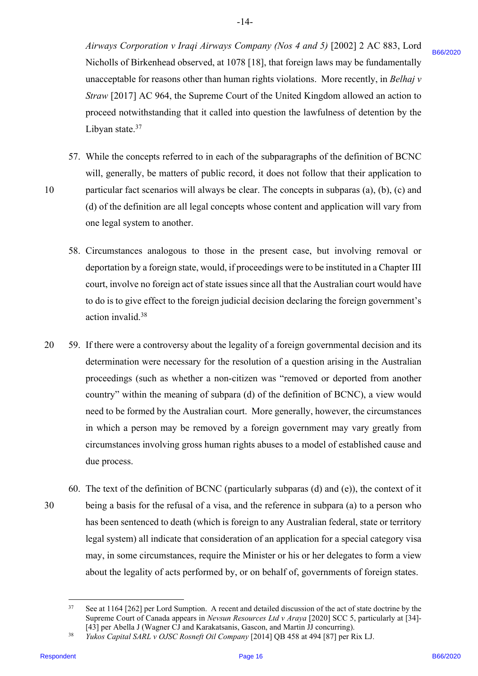*Airways Corporation v Iraqi Airways Company (Nos 4 and 5)* [2002] 2 AC 883, Lord Airways Corporation v Iraqi Airways Company (Nos 4 and 5) [2002] 2 AC 883, Lord Nicholls of Birkenhead observed, at 1078 [18], that foreign laws may be fundamentally Nicholls of Birkenhead observed, at 1078 [18], that foreign laws may be fundamentally unacceptable for reasons other than human rights violations. More recently, in *Belhaj v*  unacceptable for reasons other than human rights violations. More recently, in Belhaj v *Straw* [2017] AC 964, the Supreme Court of the United Kingdom allowed an action to Straw [2017] AC 964, the Supreme Court of the United Kingdom allowed an action to proceed notwithstanding that it called into question the lawfulness of detention by the proceed notwithstanding that it called into question the lawfulness of detention by the Libyan state. $37$ 

- 57. While the concepts referred to in each of the subparagraphs of the definition of BCNC 57. While the concepts referred to in each of the subparagraphs of the definition of BCNC will, generally, be matters of public record, it does not follow that their application to will, generally, be matters of public record, it does not follow that their application to 10 particular fact scenarios will always be clear. The concepts in subparas (a), (b), (c) and (d) of the definition are all legal concepts whose content and application will vary from (d) of the definition are all legal concepts whose content and application will vary from one legal system to another. one legal system to another.
	- 58. Circumstances analogous to those in the present case, but involving removal or Circumstances analogous to those in the present case, but involving removal or 58. deportation by a foreign state, would, if proceedings were to be instituted in a Chapter III deportation by aforeign state, would, if proceedings were to be instituted in a Chapter III court, involve no foreign act of state issues since all that the Australian court would have court, involve no foreign act of state issues since all that the Australian court would have to do is to give effect to the foreign judicial decision declaring the foreign government's to do is to give effect to the foreign judicial decision declaring the foreign government's action invalid.<sup>38</sup>
- 20 59. If there were a controversy about the legality of a foreign governmental decision and its determination were necessary for the resolution of a question arising in the Australian determination were necessary for the resolution of a question arising in the Australian proceedings (such as whether a non-citizen was "removed or deported from another proceedings (such as whether a non-citizen was "removed or deported from another country" within the meaning of subpara (d) of the definition of BCNC), a view would country" within the meaning of subpara (d) of the definition of BCNC), a view would need to be formed by the Australian court. More generally, however, the circumstances need to be formed by the Australian court. More generally, however, the circumstances in which a person may be removed by a foreign government may vary greatly from in which a person may be removed by <sup>a</sup> foreign government may vary greatly from circumstances involving gross human rights abuses to a model of established cause and circumstances involving gross human rights abuses to <sup>a</sup> model of established cause and due process. due process. Nicionals of Birkenbead observed, at 1078 [14], that foreign these may be fundamentally<br>numeropoled for resonance form frankluntar (gift) volations. Moreover, the Birkenbead of the Conserved Conserved Based on the Birkenb
- 60. The text of the definition of BCNC (particularly subparas (d) and (e)), the context of it 30 being a basis for the refusal of a visa, and the reference in subpara (a) to a person who being a basis for the refusal of <sup>a</sup> visa, and the reference in subpara (a) to <sup>a</sup> person who has been sentenced to death (which is foreign to any Australian federal, state or territory has been sentenced to death (which is foreign to any Australian federal, state or territory legal system) all indicate that consideration of an application for a special category visa legal system) all indicate that consideration of an application for a special category visa may, in some circumstances, require the Minister or his or her delegates to form a view may, in some circumstances, require the Minister or his or her delegates to form <sup>a</sup> view about the legality of acts performed by, or on behalf of, governments of foreign states. about the legality of acts performed by, or on behalf of,governments of foreign states. 30

<sup>&</sup>lt;sup>37</sup> See at 1164 [262] per Lord Sumption. A recent and detailed discussion of the act of state doctrine by the Supreme Court of Canada appears in *Nevsun Resources Ltd v Araya* [2020] SCC 5, particularly at [34]- Supreme Court of Canada appears in Nevsun Resources Ltd vAraya [2020] SCC 5, particularly at [34]- [43] per Abella J (Wagner CJ and Karakatsanis, Gascon, and Martin JJ concurring).<br><sup>38</sup> *Yukos Capital SARL v OJSC Rosneft Oil Company* [2014] QB 458 at 494 [87] per Rix LJ. 37 [43] per Abella J (Wagner CJ and Karakatsanis, Gascon, and Martin JJ concurring).

<sup>38</sup>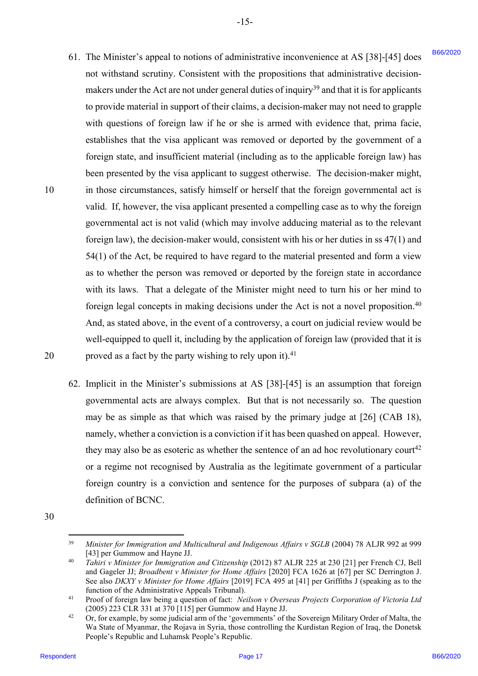- 61. The Minister's appeal to notions of administrative inconvenience at AS [38]-[45] does 61. The Minister's appeal to notions of administrative inconvenience at AS [38]-[45] does not withstand scrutiny. Consistent with the propositions that administrative decision-not withstand scrutiny. Consistent with the propositions that administrative decisionmakers under the Act are not under general duties of inquiry<sup>39</sup> and that it is for applicants to provide material in support of their claims, a decision-maker may not need to grapple to provide material in support of their claims, a decision-maker may not need to grapple with questions of foreign law if he or she is armed with evidence that, prima facie, with questions of foreign law if he or she is armed with evidence that, prima facie, establishes that the visa applicant was removed or deported by the government of a foreign state, and insufficient material (including as to the applicable foreign law) has been presented by the visa applicant to suggest otherwise. The decision-maker might, been presented by the visa applicant to suggest otherwise. The decision-maker might, 10 in those circumstances, satisfy himself or herself that the foreign governmental act is valid. If, however, the visa applicant presented a compelling case as to why the foreign governmental act is not valid (which may involve adducing material as to the relevant governmental act is not valid (which may involve adducing material as to the relevant foreign law), the decision-maker would, consistent with his or her duties in ss 47(1) and foreign law), the decision-maker would, consistent with his or her duties in ss 47(1) and 54(1) of the Act, be required to have regard to the material presented and form a view 54(1) of the Act, be required to have regard to the material presented and form <sup>a</sup> view as to whether the person was removed or deported by the foreign state in accordance as to whether the person was removed or deported by the foreign state in accordance with its laws. That a delegate of the Minister might need to turn his or her mind to with its laws. That a delegate of the Minister might need to turn his or her mind to foreign legal concepts in making decisions under the Act is not a novel proposition.<sup>40</sup> And, as stated above, in the event of a controversy, a court on judicial review would be And, as stated above, in the event of a controversy, a court on judicial review would be well-equipped to quell it, including by the application of foreign law (provided that it is well-equipped to quell it, including by the application of foreign law (provided that it is 20  $\blacksquare$  proved as a fact by the party wishing to rely upon it).<sup>41</sup> 61. The Musikers' as question of information the interesting trace and AS (38)-[48] According to move the state of the Musikers' and the BS (48)-[48] According to the Act are active to the Act are active to the Act are ac
	- 62. Implicit in the Minister's submissions at AS [38]-[45] is an assumption that foreign 62. Implicit in the Minister's submissions at AS [38]-[45] is an assumption that foreign governmental acts are always complex. But that is not necessarily so. The question governmental acts are always complex. But that is not necessarily so. The question may be as simple as that which was raised by the primary judge at [26] (CAB 18), may be as simple as that which was raised by the primary judge at [26] (CAB 18), namely, whether a conviction is a conviction if it has been quashed on appeal. However, namely, whether <sup>a</sup> conviction is <sup>a</sup> conviction ifit has been quashed on appeal. However, they may also be as esoteric as whether the sentence of an ad hoc revolutionary court<sup>42</sup> or a regime not recognised by Australia as the legitimate government of a particular foreign country is a conviction and sentence for the purposes of subpara (a) of the foreign country is a conviction and sentence for the purposes of subpara (a) of the definition of BCNC. definition of BCNC.
- 30 30

20

<sup>&</sup>lt;sup>39</sup> Minister for Immigration and Multicultural and Indigenous Affairs v SGLB (2004) 78 ALJR 992 at 999 [43] per Gummow and Hayne JJ. 39

<sup>&</sup>lt;sup>40</sup> Tahiri v Minister for Immigration and Citizenship (2012) 87 ALJR 225 at 230 [21] per French CJ, Bell and Gageler JJ; *Broadbent v Minister for Home Affairs* [2020] FCA 1626 at [67] per SC Derrington J. See also *DKXY v Minister for Home Affairs* [2019] FCA 495 at [41] per Griffiths J (speaking as to the See also DKXY v Minister for Home Affairs [2019] FCA 495 at [41] per Griffiths <sup>J</sup> (speaking as to the function of the Administrative Appeals Tribunal). 40

<sup>41</sup> Proof of foreign law being a question of fact: *Neilson v Overseas Projects Corporation of Victoria Ltd* Proof of foreign law being a question of fact: Neilson v Overseas Projects Corporation of Victoria Ltd (2005) 223 CLR 331 at 370 [115] per Gummow and Hayne JJ. (2005) 223 CLR 331 at 370 [115] per Gummow and Hayne JJ. 41

 $^{42}$  Or, for example, by some judicial arm of the 'governments' of the Sovereign Military Order of Malta, the Wa State of Myanmar, the Rojava in Syria, those controlling the Kurdistan Region of Iraq, the Donetsk Wa State of Myanmar, the Rojava in Syria, those controlling the Kurdistan Region of Iraq, the Donetsk People's Republic and Luhamsk People's Republic. 42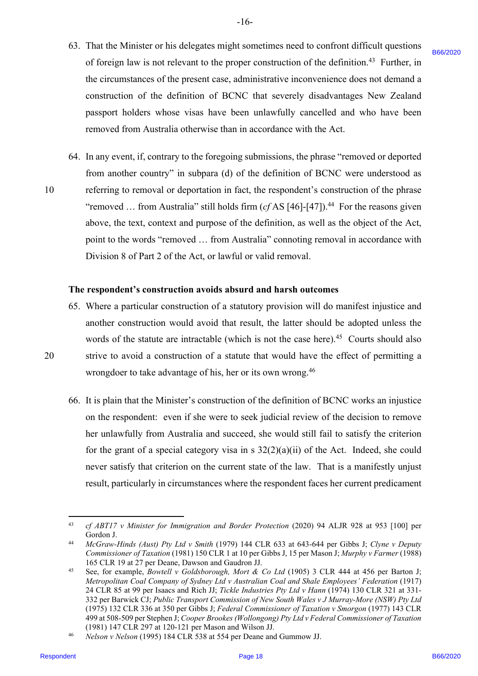63. That the Minister or his delegates might sometimes need to confront difficult questions That the Minister or his delegates might sometimes need to confront difficult questions 63. of foreign law is not relevant to the proper construction of the definition.<sup>43</sup> Further, in the circumstances of the present case, administrative inconvenience does not demand a the circumstances of the present case, administrative inconvenience does not demand aconstruction of the definition of BCNC that severely disadvantages New Zealand construction of the definition of BCNC that severely disadvantages New Zealand passport holders whose visas have been unlawfully cancelled and who have been passport holders whose visas have been unlawfully cancelled and who have been removed from Australia otherwise than in accordance with the Act. removed from Australia otherwise than in accordance with the Act.

-16- -16-

64. In any event, if, contrary to the foregoing submissions, the phrase "removed or deported In any event, if, contrary to the foregoing submissions, the phrase "removed or deported 64. from another country" in subpara (d) of the definition of BCNC were understood as from another country" in subpara (d) of the definition of BCNC were understood as 10 referring to removal or deportation in fact, the respondent's construction of the phrase "removed ... from Australia" still holds firm  $(cfAS [46]$ -[47]).<sup>44</sup> For the reasons given above, the text, context and purpose of the definition, as well as the object of the Act, above, the text, context and purpose of the definition, as well as the object of the Act, point to the words "removed … from Australia" connoting removal in accordance with point to the words "removed ... from Australia" connoting removal in accordance with Division 8 of Part 2 of the Act, or lawful or valid removal. Division <sup>8</sup> of Part <sup>2</sup> of the Act, or lawful or valid removal. of foreign has in real relevant to the proper construction of the definition.<sup>46</sup> Funder, in<br>the electromation of fits definition of BCNC that severely disabratings because the<br>construction of the definition of BCNC that

### **The respondent's construction avoids absurd and harsh outcomes** The respondent's construction avoids absurd and harsh outcomes

- 65. Where a particular construction of a statutory provision will do manifest injustice and Where <sup>a</sup> particular construction of <sup>a</sup> statutory provision will do manifest injustice and 65. another construction would avoid that result, the latter should be adopted unless the another construction would avoid that result, the latter should be adopted unless the words of the statute are intractable (which is not the case here). $45$  Courts should also 20 strive to avoid a construction of a statute that would have the effect of permitting a wrongdoer to take advantage of his, her or its own wrong.<sup>46</sup>
	- 66. It is plain that the Minister's construction of the definition of BCNC works an injustice on the respondent: even if she were to seek judicial review of the decision to remove her unlawfully from Australia and succeed, she would still fail to satisfy the criterion her unlawfully from Australia and succeed, she would still fail to satisfy the criterion for the grant of a special category visa in s  $32(2)(a)(ii)$  of the Act. Indeed, she could never satisfy that criterion on the current state of the law. That is a manifestly unjust never satisfy that criterion on the current state of the law. That is <sup>a</sup> manifestly unjust result, particularly in circumstances where the respondent faces her current predicament result, particularly in circumstances where the respondent faces her current predicament

20

<sup>43</sup> *cf ABT17 v Minister for Immigration and Border Protection* (2020) 94 ALJR 928 at 953 [100] per cf ABT17 v Minister for Immigration and Border Protection (2020) 94 ALJR 928 at 953 [100] per Gordon J. Gordon J. 43

<sup>44</sup> *McGraw-Hinds (Aust) Pty Ltd v Smith* (1979) 144 CLR 633 at 643-644 per Gibbs J; *Clyne v Deputy*  McGraw-Hinds (Aust) Pty Ltd v Smith (1979) 144 CLR 633 at 643-644 per Gibbs J; Clyne v Deputy *Commissioner of Taxation* (1981) 150 CLR 1 at 10 per Gibbs J, 15 per Mason J; *Murphy v Farmer* (1988) Commissioner of Taxation (1981) 150 CLR 1 at 10 per Gibbs J, <sup>15</sup> per Mason J; Murphy v Farmer (1988) 165 CLR 19 at 27 per Deane, Dawson and Gaudron JJ. 165 CLR 19 at 27 per Deane, Dawson and Gaudron JJ. 44

<sup>45</sup> See, for example, *Bowtell v Goldsborough, Mort & Co Ltd* (1905) 3 CLR 444 at 456 per Barton J; See, for example, Bowtell v Goldsborough, Mort & Co Ltd (1905) <sup>3</sup> CLR 444 at 456 per Barton J; Metropolitan Coal Company of Sydney Ltd v Australian Coal and Shale Employees' Federation (1917) 24 CLR 85 at 99 per Isaacs and Rich JJ; *Tickle Industries Pty Ltd v Hann* (1974) 130 CLR 321 at 331- 24 CLR 85 at 99 per Isaacs and Rich JJ; Tickle Industries Pty Ltd v Hann (1974) 130 CLR 321 at 331- 332 per Barwick CJ; Public Transport Commission of New South Wales v J Murray-More (NSW) Pty Ltd (1975) 132 CLR 336 at 350 per Gibbs J; *Federal Commissioner of Taxation v Smorgon* (1977) 143 CLR (1975) 132 CLR 336 at 350 per Gibbs J; Federal Commissioner of Taxation v Smorgon (1977) 143 CLR 499 at 508-509 per Stephen J; *Cooper Brookes (Wollongong) Pty Ltd v Federal Commissioner of Taxation* 499 at 508-509 per Stephen J; Cooper Brookes (Wollongong) Pty Ltdv Federal Commissioner ofTaxation (1981) 147 CLR 297 at 120-121 per Mason and Wilson JJ. (1981) 147 CLR 297 at 120-121 per Mason and Wilson JJ. 45

<sup>46</sup> *Nelson v Nelson* (1995) 184 CLR 538 at 554 per Deane and Gummow JJ. Nelson v Nelson (1995) 184 CLR 538 at 554 per Deane and Gummow JJ. 46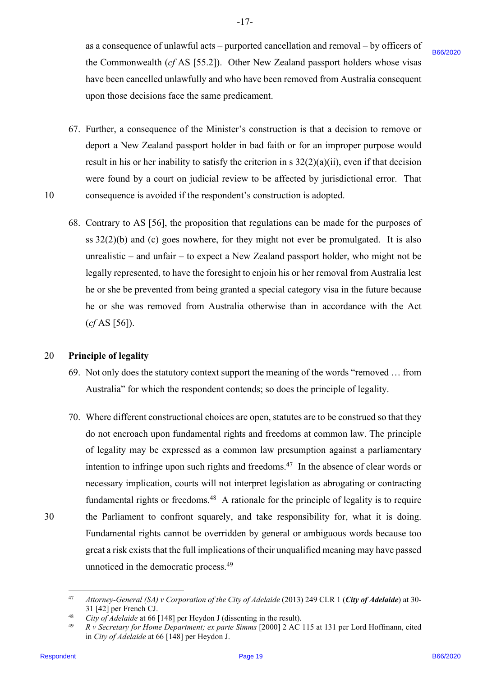as a consequence of unlawful acts – purported cancellation and removal – by officers of as <sup>a</sup> consequence of unlawful acts — purported cancellation and removal — by officers of the Commonwealth (cf AS [55.2]). Other New Zealand passport holders whose visas have been cancelled unlawfully and who have been removed from Australia consequent have been cancelled unlawfully and who have been removed from Australia consequent upon those decisions face the same predicament. upon those decisions face the same predicament.

 $-17-$ 

- 67. Further, a consequence of the Minister's construction is that a decision to remove or 67. Further, a consequence of the Minister's construction is that <sup>a</sup> decision to remove or deport a New Zealand passport holder in bad faith or for an improper purpose would deport a New Zealand passport holder in bad faith or for an improper purpose would result in his or her inability to satisfy the criterion in s  $32(2)(a)(ii)$ , even if that decision were found by a court on judicial review to be affected by jurisdictional error. That were found by a court on judicial review to be affected by jurisdictional error. That 10 consequence is avoided if the respondent's construction is adopted. consequence is avoided if the respondent's construction is adopted.
	- 68. Contrary to AS [56], the proposition that regulations can be made for the purposes of 68. Contrary to AS [56], the proposition that regulations can be made for the purposes of ss 32(2)(b) and (c) goes nowhere, for they might not ever be promulgated. It is also ss 32(2)(b) and (c) goes nowhere, for they might not ever be promulgated. It is also unrealistic – and unfair – to expect a New Zealand passport holder, who might not be unrealistic — and unfair — to expect a New Zealand passport holder, who might not be legally represented, to have the foresight to enjoin his or her removal from Australia lest legally represented, to have the foresight to enjoin his or her removal from Australia lest he or she be prevented from being granted a special category visa in the future because he or she be prevented from being granted a special category visa in the future because he or she was removed from Australia otherwise than in accordance with the Act (*cf* AS [56]). (cf AS [56]).

### 20 **Principle of legality** 20 'Principle of legality

- 69. Not only does the statutory context support the meaning of the words "removed … from 69. Not only does the statutory context support the meaning ofthe words "removed ... from Australia" for which the respondent contends; so does the principle of legality. Australia" for which the respondent contends; so does the principle of legality.
- 70. Where different constructional choices are open, statutes are to be construed so that they 70. Where different constructional choices are open, statutes are to be construed so that they do not encroach upon fundamental rights and freedoms at common law. The principle do not encroach upon fundamental rights and freedoms at common law. The principle of legality may be expressed as a common law presumption against a parliamentary of legality may be expressed as <sup>a</sup> common law presumption against <sup>a</sup> parliamentary intention to infringe upon such rights and freedoms. $47$  In the absence of clear words or necessary implication, courts will not interpret legislation as abrogating or contracting necessary implication, courts will not interpret legislation as abrogating or contracting fundamental rights or freedoms.<sup>48</sup> A rationale for the principle of legality is to require 30 the Parliament to confront squarely, and take responsibility for, what it is doing. the Parliament to confront squarely, and take responsibility for, what it is doing. Fundamental rights cannot be overridden by general or ambiguous words because too Fundamental rights cannot be overridden by general or ambiguous words because too great a risk exists that the full implications of their unqualified meaning may have passed unnoticed in the democratic process.<sup>49</sup> But Communescalia (cf AM [55.21]). Other New Zealand purspair balders whose visa-<br>have been canceled culowintly and via bure been connoved from Anuttain examples<br>upon these exacts are upon the distribution of the Minister

<sup>&</sup>lt;sup>47</sup> Attorney-General (SA) v Corporation of the City of Adelaide (2013) 249 CLR 1 (City of Adelaide) at 30-31 [42] per French CJ. 31 [42] per French CJ. 47

<sup>&</sup>lt;sup>48</sup> *City of Adelaide* at 66 [148] per Heydon J (dissenting in the result). 48

<sup>&</sup>lt;sup>49</sup> R v Secretary for Home Department; ex parte Simms [2000] 2 AC 115 at 131 per Lord Hoffmann, cited in *City of Adelaide* at 66 [148] per Heydon J. in City of Adelaide at 66 [148] per Heydon J. 49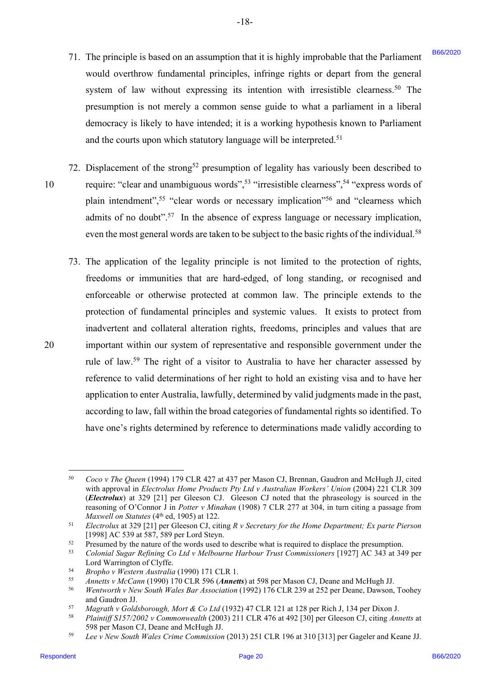- 71. The principle is based on an assumption that it is highly improbable that the Parliament 71. The principle is based on an assumption that it is highly improbable that the Parliament would overthrow fundamental principles, infringe rights or depart from the general would overthrow fundamental principles, infringe rights or depart from the general system of law without expressing its intention with irresistible clearness.<sup>50</sup> The presumption is not merely a common sense guide to what a parliament in a liberal presumption is not merely <sup>a</sup> common sense guide to what <sup>a</sup> parliament in <sup>a</sup> liberal democracy is likely to have intended; it is a working hypothesis known to Parliament democracy is likely to have intended; it is <sup>a</sup> working hypothesis known to Parliament and the courts upon which statutory language will be interpreted.<sup>51</sup>
- 72. Displacement of the strong<sup>52</sup> presumption of legality has variously been described to 10 require: "clear and unambiguous words",<sup>53</sup> "irresistible clearness",<sup>54</sup> "express words of plain intendment",<sup>55</sup> "clear words or necessary implication"<sup>56</sup> and "clearness which admits of no doubt".<sup>57</sup> In the absence of express language or necessary implication, even the most general words are taken to be subject to the basic rights of the individual.<sup>58</sup> 10
- 73. The application of the legality principle is not limited to the protection of rights, 73. The application of the legality principle is not limited to the protection of rights, freedoms or immunities that are hard-edged, of long standing, or recognised and freedoms or immunities that are hard-edged, of long standing, or recognised and enforceable or otherwise protected at common law. The principle extends to the enforceable or otherwise protected at common law. The principle extends to the protection of fundamental principles and systemic values. It exists to protect from inadvertent and collateral alteration rights, freedoms, principles and values that are inadvertent and collateral alteration rights, freedoms, principles and values that are 20 important within our system of representative and responsible government under the important within our system of representative and responsible government under the rule of law.<sup>59</sup> The right of a visitor to Australia to have her character assessed by reference to valid determinations of her right to hold an existing visa and to have her application to enter Australia, lawfully, determined by valid judgments made in the past, application to enter Australia, lawfully, determined by validjudgments made in the past, according to law, fall within the broad categories of fundamental rights so identified. To according to law, fall within the broad categories of fundamental rights so identified. To have one's rights determined by reference to determinations made validly according to have one's rights determined by reference to determinations made validly according to 71. The projected based on an sourcepton that is in biggivly proposite law the Patitimore in the matter of the special particles with the matter of the special particles with a streame strength is interesting in the speci

<sup>50</sup> *Coco v The Queen* (1994) 179 CLR 427 at 437 per Mason CJ, Brennan, Gaudron and McHugh JJ, cited Coco v The Queen (1994) 179 CLR 427 at 437 per Mason CJ, Brennan, Gaudron and McHugh JJ, cited with approval in *Electrolux Home Products Pty Ltd v Australian Workers' Union* (2004) 221 CLR 309 with approval in Electrolux Home Products Pty Ltd v Australian Workers' Union (2004) 221 CLR 309 (*Electrolux*) at 329 [21] per Gleeson CJ. Gleeson CJ noted that the phraseology is sourced in the (Electrolux) at 329 [21] per Gleeson CJ. Gleeson CJ noted that the phraseology is sourced in the reasoning of O'Connor J in Potter v Minahan (1908) 7 CLR 277 at 304, in turn citing a passage from 50 Maxwell on Statutes (4<sup>th</sup> ed, 1905) at 122.

Maxwell on Statutes ( $4<sup>th</sup>$  ed, 1905) at 122.<br><sup>51</sup> Electrolux at 329 [21] per Gleeson CJ, citing R v Secretary for the Home Department; Ex parte Pierson [1998] AC 539 at 587, 589 per Lord Steyn.<br><sup>52</sup> Presumed by the nature of the words used to describe what is required to displace the presumption.<br><sup>53</sup> Colonial Sugar Refining Co Ltd v Melbourne Harbour Trust Commissioners Sl [1998] AC 539 at 587, 589 per Lord Steyn.

<sup>52</sup> Presumed by the nature of the words used to describe what is required to displace the presumption.

Lord Warrington of Clyffe. Lord Warrington of Clyffe. 53

<sup>54</sup> *Bropho v Western Australia* (1990) 171 CLR 1. Bropho v Western Australia (1990) 171 CLR 1. 54

<sup>&</sup>lt;sup>55</sup> Annetts v McCann (1990) 170 CLR 596 (Annetts) at 598 per Mason CJ, Deane and McHugh JJ. 55

<sup>56</sup> *Wentworth v New South Wales Bar Association* (1992) 176 CLR 239 at 252 per Deane, Dawson, Toohey Wentworth v New South Wales Bar Association (1992) 176 CLR 239 at 252 per Deane, Dawson, Toohey and Gaudron JJ. 56

<sup>&</sup>lt;sup>57</sup> Magrath v Goldsborough, Mort & Co Ltd (1932) 47 CLR 121 at 128 per Rich J, 134 per Dixon J.<br><sup>58</sup> Plaintiff S157/2002 v Commonwealth (2003) 211 CLR 476 at 492 [30] per Gleeson CJ, citing Annetts at s7 Magrath v Goldsborough, Mort & Co Ltd (1932) 47 CLR 121 at 128 per Rich J, 134 per Dixon J.

<sup>598</sup> per Mason CJ, Deane and McHugh JJ.<br><sup>59</sup> Lee v New South Wales Crime Commission (2013) 251 CLR 196 at 310 [313] per Gageler and Keane JJ. 58 598 per Mason CJ, Deane and McHugh JJ.

<sup>59</sup>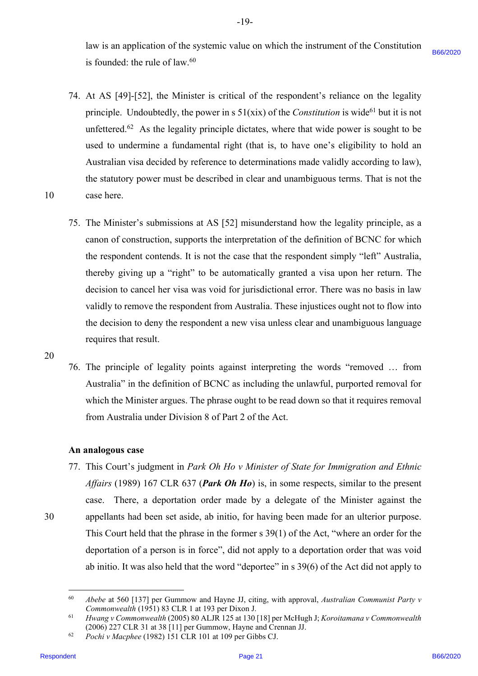law is an application of the systemic value on which the instrument of the Constitution law is an application of the systemic value on which the instrument of the Constitution is founded: the rule of law.<sup>60</sup>

- 74. At AS [49]-[52], the Minister is critical of the respondent's reliance on the legality 74. At AS [49]-[52], the Minister is critical of the respondent's reliance on the legality principle. Undoubtedly, the power in s  $51(xix)$  of the *Constitution* is wide<sup>61</sup> but it is not unfettered.<sup>62</sup> As the legality principle dictates, where that wide power is sought to be used to undermine a fundamental right (that is, to have one's eligibility to hold an used to undermine a fundamental right (that is, to have one's eligibility to hold an Australian visa decided by reference to determinations made validly according to law), Australian visa decided by reference to determinations made validly according to law), the statutory power must be described in clear and unambiguous terms. That is not the the statutory power must be described in clear and unambiguous terms. That is not the 10 case here. case here.
- 75. The Minister's submissions at AS [52] misunderstand how the legality principle, as a canon of construction, supports the interpretation of the definition of BCNC for which canon of construction, supports the interpretation of the definition of BCNC for which the respondent contends. It is not the case that the respondent simply "left" Australia, the respondent contends. It is not the case that the respondent simply "left" Australia, thereby giving up a "right" to be automatically granted a visa upon her return. The thereby giving up <sup>a</sup> "right" to be automatically granted a visa upon her return. The decision to cancel her visa was void for jurisdictional error. There was no basis in law decision to cancel her visa was void for jurisdictional error. There was no basis in law validly to remove the respondent from Australia. These injustices ought not to flow into validly to remove the respondent from Australia. These injustices ought not to flow into the decision to deny the respondent a new visa unless clear and unambiguous language the decision to deny the respondent <sup>a</sup> new visa unless clear and unambiguous language requires that result. requires that result. in fourthaint the mloc of loca,<sup>62</sup><br>
24. At AS [199][52], the Virtusler is critical of the respondent's reduces on the legality<br>
principle Undonted Page 1020 payer is a Stitled of the Constrainer on its edge 101 pair of t

20 20

30

10

76. The principle of legality points against interpreting the words "removed ... from Australia" in the definition of BCNC as including the unlawful, purported removal for Australia" in the definition of BCNC as including the unlawful, purported removal for which the Minister argues. The phrase ought to be read down so that it requires removal from Australia under Division 8 of Part 2 of the Act. from Australia under Division 8 of Part 2 of the Act.

# **An analogous case**  An analogous case

77. This Court's judgment in Park Oh Ho v Minister of State for Immigration and Ethnic *Affairs* (1989) 167 CLR 637 (*Park Oh Ho*) is, in some respects, similar to the present Affairs (1989) 167 CLR 637 (Park Oh Ho) is, in some respects, similar to the present case. There, a deportation order made by a delegate of the Minister against the case. There, a deportation order made by a delegate of the Minister against the 30 appellants had been set aside, ab initio, for having been made for an ulterior purpose. appellants had been set aside, ab initio, for having been made for an ulterior purpose. This Court held that the phrase in the former s 39(1) of the Act, "where an order for the This Court held that the phrase in the former <sup>s</sup> 39(1) of the Act, "where an order for the deportation of a person is in force", did not apply to a deportation order that was void deportation of <sup>a</sup> person is in force", did not apply to <sup>a</sup> deportation order that was void ab initio. It was also held that the word "deportee" in s 39(6) of the Act did not apply to ab initio. It was also held that the word "deportee" in <sup>s</sup> 39(6) of the Act did not apply to

<sup>60</sup> *Abebe* at 560 [137] per Gummow and Hayne JJ, citing, with approval, *Australian Communist Party v*  Abebe at 560 [137] per Gummow and Hayne JJ, citing, with approval, Australian Communist Party v Commonwealth (1951) 83 CLR 1 at 193 per Dixon J. 60

<sup>61</sup> *Hwang v Commonwealth* (2005) 80 ALJR 125 at 130 [18] per McHugh J; *Koroitamana v Commonwealth*  Hwang v Commonwealth (2005) 80 ALJR 125 at 130 [18] per McHugh J; Koroitamana v Commonwealth (2006) 227 CLR 31 at 38 [11] per Gummow, Hayne and Crennan JJ. (2006) 227 CLR 31 at 38 [11] per Gummow, Hayne and Crennan JJ. 61

<sup>62</sup> *Pochi v Macphee* (1982) 151 CLR 101 at 109 per Gibbs CJ. Pochi v Macphee (1982) 151 CLR 101 at 109 per Gibbs CJ. 62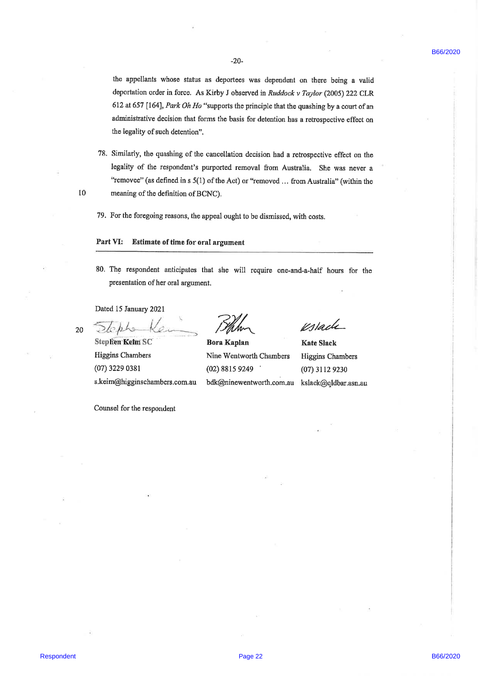the appellants whose status as deportees was dependent on there being a valid the appellants whose status as deportees was dependent on there being <sup>a</sup> valid deportation order in force. As Kirby J observed in Ruddock v Taylor (2005) 222 CLR 612 at 657 [164], Park Oh Ho "supports the principle that the quashing by a court of an administrative decision that forms the basis for detention has a retrospectivo effect on administrative decision that forms the basis for detention has <sup>a</sup> retrospective effect on the legality of such detention" The separation and such a subset of the system of the system of the system of the system of the system of the system of the system of the system of the system of the system of the system of the system of the system of the

78, Similady, tho quashing of the cancollation decision had a retrospective effect on the 78, Similarly, the quashing of the cancellation decision had <sup>a</sup> retrospective effect on the legality of the respondent's purported removal from Australia, She was never <sup>a</sup> legality of the respondent's purported removal from Australia, She was never a "removee" (as defined in s 5(1) of the Act) or "removed ... from Australia" (within the meaning of the definition of BCNC). 10 meaning of the definition of BCNC).

79. For the foregoing reasons, the appeal ought to be dismissed, with costs.

# Part VI: Estimate of time for oral argument

80. The respondent anticipates that she will require one-and-a-half hours for the 80. The respondent anticipates that she will require one-and-a-half hours for the presentation of her oral argument

Dated 15 lanuary 2021 Dated 15 January 2021

10

20

Stephen Keim SC Bora Kaplan Kate Slack Nine Wentworth Chambers Higgins Chambers Higgins Chambers Nine Wentworth Chambers Higgins Chambers (02) 88ls 9249 ' (07)31129230 (07) 3229 0381 (02) 8815 9249 (07) 3112 9230 Higgins Chambers (07) 3229 0381 s.keim@higginschambers.com.au s.keim@higginschambers.com.au bdk@ninewentworth.com.au kslack@qldbar.asn.au

Counsel for the respondent

20 Stephen Kein Black Vstack

Bora Kaplan bdk@ninewentworth.com.au kslack@qldbar.asn.au

Ks/acle<br>Kate Slack